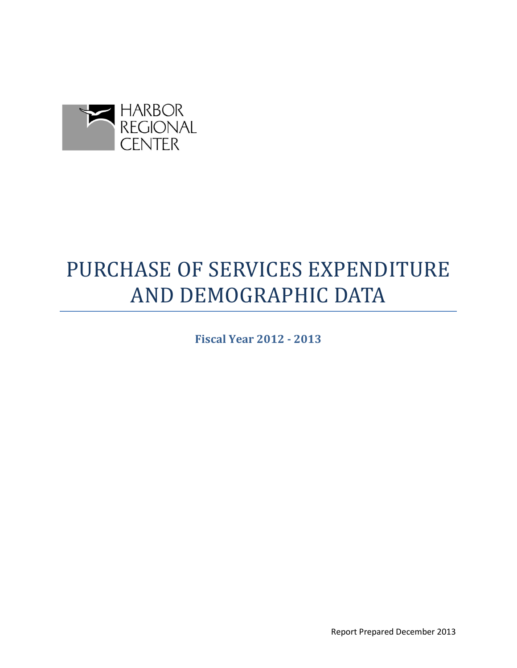

# PURCHASE OF SERVICES EXPENDITURE AND DEMOGRAPHIC DATA

**Fiscal Year 2012 - 2013**

Report Prepared December 2013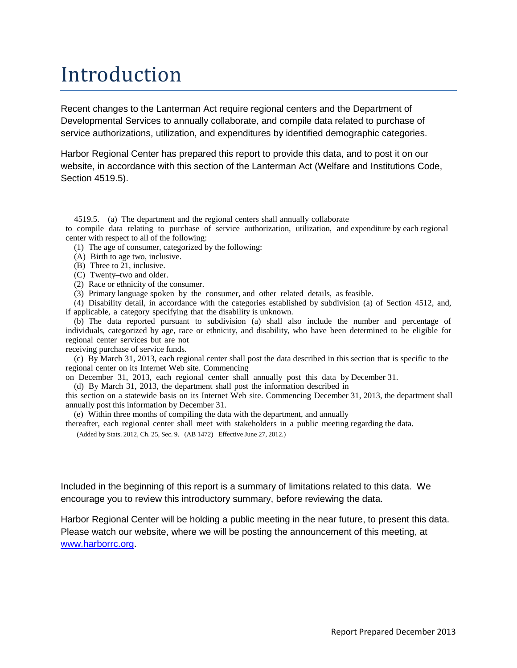# Introduction

Recent changes to the Lanterman Act require regional centers and the Department of Developmental Services to annually collaborate, and compile data related to purchase of service authorizations, utilization, and expenditures by identified demographic categories.

Harbor Regional Center has prepared this report to provide this data, and to post it on our website, in accordance with this section of the Lanterman Act (Welfare and Institutions Code, Section 4519.5).

4519.5. (a) The department and the regional centers shall annually collaborate

to compile data relating to purchase of service authorization, utilization, and expenditure by each regional center with respect to all of the following:

(1) The age of consumer, categorized by the following:

- (A) Birth to age two, inclusive.
- (B) Three to 21, inclusive.
- (C) Twenty–two and older.
- (2) Race or ethnicity of the consumer.
- (3) Primary language spoken by the consumer, and other related details, as feasible.

(4) Disability detail, in accordance with the categories established by subdivision (a) of Section 4512, and, if applicable, a category specifying that the disability is unknown.

(b) The data reported pursuant to subdivision (a) shall also include the number and percentage of individuals, categorized by age, race or ethnicity, and disability, who have been determined to be eligible for regional center services but are not

receiving purchase of service funds.

(c) By March 31, 2013, each regional center shall post the data described in this section that is specific to the regional center on its Internet Web site. Commencing

on December 31, 2013, each regional center shall annually post this data by December 31.

(d) By March 31, 2013, the department shall post the information described in this section on a statewide basis on its Internet Web site. Commencing December 31, 2013, the department shall annually post this information by December 31.

(e) Within three months of compiling the data with the department, and annually

thereafter, each regional center shall meet with stakeholders in a public meeting regarding the data.

(Added by Stats. 2012, Ch. 25, Sec. 9. (AB 1472) Effective June 27, 2012.)

Included in the beginning of this report is a summary of limitations related to this data. We encourage you to review this introductory summary, before reviewing the data.

Harbor Regional Center will be holding a public meeting in the near future, to present this data. Please watch our website, where we will be posting the announcement of this meeting, at [www.harborrc.org.](http://www.harborrc.org/)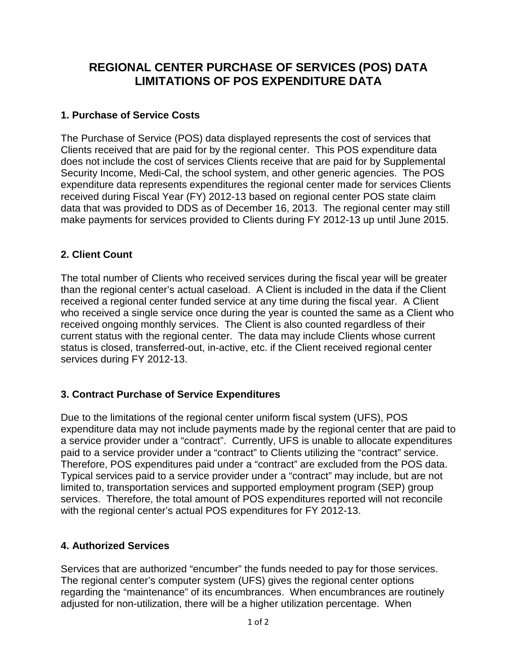# **REGIONAL CENTER PURCHASE OF SERVICES (POS) DATA LIMITATIONS OF POS EXPENDITURE DATA**

#### **1. Purchase of Service Costs**

The Purchase of Service (POS) data displayed represents the cost of services that Clients received that are paid for by the regional center. This POS expenditure data does not include the cost of services Clients receive that are paid for by Supplemental Security Income, Medi-Cal, the school system, and other generic agencies. The POS expenditure data represents expenditures the regional center made for services Clients received during Fiscal Year (FY) 2012-13 based on regional center POS state claim data that was provided to DDS as of December 16, 2013. The regional center may still make payments for services provided to Clients during FY 2012-13 up until June 2015.

#### **2. Client Count**

The total number of Clients who received services during the fiscal year will be greater than the regional center's actual caseload. A Client is included in the data if the Client received a regional center funded service at any time during the fiscal year. A Client who received a single service once during the year is counted the same as a Client who received ongoing monthly services. The Client is also counted regardless of their current status with the regional center. The data may include Clients whose current status is closed, transferred-out, in-active, etc. if the Client received regional center services during FY 2012-13.

#### **3. Contract Purchase of Service Expenditures**

Due to the limitations of the regional center uniform fiscal system (UFS), POS expenditure data may not include payments made by the regional center that are paid to a service provider under a "contract". Currently, UFS is unable to allocate expenditures paid to a service provider under a "contract" to Clients utilizing the "contract" service. Therefore, POS expenditures paid under a "contract" are excluded from the POS data. Typical services paid to a service provider under a "contract" may include, but are not limited to, transportation services and supported employment program (SEP) group services. Therefore, the total amount of POS expenditures reported will not reconcile with the regional center's actual POS expenditures for FY 2012-13.

#### **4. Authorized Services**

Services that are authorized "encumber" the funds needed to pay for those services. The regional center's computer system (UFS) gives the regional center options regarding the "maintenance" of its encumbrances. When encumbrances are routinely adjusted for non-utilization, there will be a higher utilization percentage. When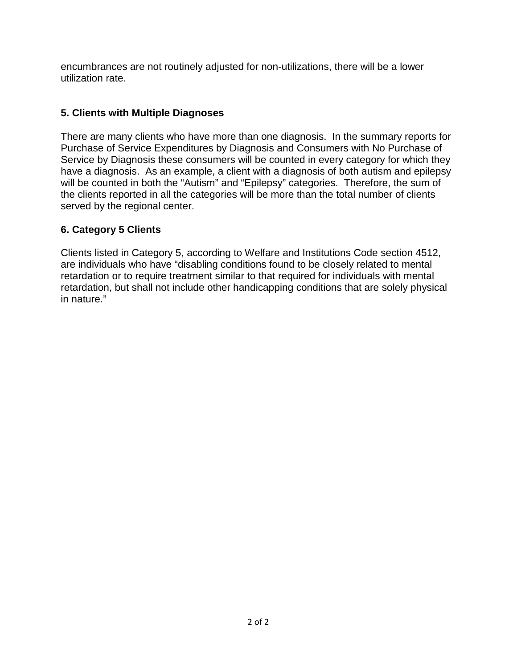encumbrances are not routinely adjusted for non-utilizations, there will be a lower utilization rate.

#### **5. Clients with Multiple Diagnoses**

There are many clients who have more than one diagnosis. In the summary reports for Purchase of Service Expenditures by Diagnosis and Consumers with No Purchase of Service by Diagnosis these consumers will be counted in every category for which they have a diagnosis. As an example, a client with a diagnosis of both autism and epilepsy will be counted in both the "Autism" and "Epilepsy" categories. Therefore, the sum of the clients reported in all the categories will be more than the total number of clients served by the regional center.

## **6. Category 5 Clients**

Clients listed in Category 5, according to Welfare and Institutions Code section 4512, are individuals who have "disabling conditions found to be closely related to mental retardation or to require treatment similar to that required for individuals with mental retardation, but shall not include other handicapping conditions that are solely physical in nature."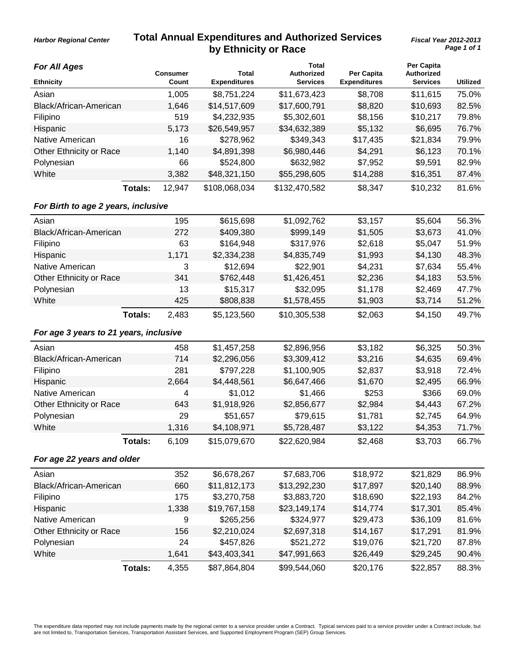### **Total Annual Expenditures and Authorized Services by Ethnicity or Race**

*Harbor Regional Center*

| <b>For All Ages</b>                    |                |                          |                              | <b>Total</b>                  |                                   | Per Capita                           |                 |
|----------------------------------------|----------------|--------------------------|------------------------------|-------------------------------|-----------------------------------|--------------------------------------|-----------------|
| <b>Ethnicity</b>                       |                | <b>Consumer</b><br>Count | Total<br><b>Expenditures</b> | Authorized<br><b>Services</b> | Per Capita<br><b>Expenditures</b> | <b>Authorized</b><br><b>Services</b> | <b>Utilized</b> |
| Asian                                  |                | 1,005                    | \$8,751,224                  | \$11,673,423                  | \$8,708                           | \$11,615                             | 75.0%           |
| Black/African-American                 |                | 1,646                    | \$14,517,609                 | \$17,600,791                  | \$8,820                           | \$10,693                             | 82.5%           |
| Filipino                               |                | 519                      | \$4,232,935                  | \$5,302,601                   | \$8,156                           | \$10,217                             | 79.8%           |
| Hispanic                               |                | 5,173                    | \$26,549,957                 | \$34,632,389                  | \$5,132                           | \$6,695                              | 76.7%           |
| Native American                        |                | 16                       | \$278,962                    | \$349,343                     | \$17,435                          | \$21,834                             | 79.9%           |
| Other Ethnicity or Race                |                | 1,140                    | \$4,891,398                  | \$6,980,446                   | \$4,291                           | \$6,123                              | 70.1%           |
| Polynesian                             |                | 66                       | \$524,800                    | \$632,982                     | \$7,952                           | \$9,591                              | 82.9%           |
| White                                  |                | 3,382                    | \$48,321,150                 | \$55,298,605                  | \$14,288                          | \$16,351                             | 87.4%           |
|                                        | <b>Totals:</b> | 12,947                   | \$108,068,034                | \$132,470,582                 | \$8,347                           | \$10,232                             | 81.6%           |
| For Birth to age 2 years, inclusive    |                |                          |                              |                               |                                   |                                      |                 |
| Asian                                  |                | 195                      | \$615,698                    | \$1,092,762                   | \$3,157                           | \$5,604                              | 56.3%           |
| Black/African-American                 |                | 272                      | \$409,380                    | \$999,149                     | \$1,505                           | \$3,673                              | 41.0%           |
| Filipino                               |                | 63                       | \$164,948                    | \$317,976                     | \$2,618                           | \$5,047                              | 51.9%           |
| Hispanic                               |                | 1,171                    | \$2,334,238                  | \$4,835,749                   | \$1,993                           | \$4,130                              | 48.3%           |
| Native American                        |                | 3                        | \$12,694                     | \$22,901                      | \$4,231                           | \$7,634                              | 55.4%           |
| Other Ethnicity or Race                |                | 341                      | \$762,448                    | \$1,426,451                   | \$2,236                           | \$4,183                              | 53.5%           |
| Polynesian                             |                | 13                       | \$15,317                     | \$32,095                      | \$1,178                           | \$2,469                              | 47.7%           |
| White                                  |                | 425                      | \$808,838                    | \$1,578,455                   | \$1,903                           | \$3,714                              | 51.2%           |
|                                        | Totals:        | 2,483                    | \$5,123,560                  | \$10,305,538                  | \$2,063                           | \$4,150                              | 49.7%           |
| For age 3 years to 21 years, inclusive |                |                          |                              |                               |                                   |                                      |                 |
| Asian                                  |                | 458                      | \$1,457,258                  | \$2,896,956                   | \$3,182                           | \$6,325                              | 50.3%           |
| Black/African-American                 |                | 714                      | \$2,296,056                  | \$3,309,412                   | \$3,216                           | \$4,635                              | 69.4%           |
| Filipino                               |                | 281                      | \$797,228                    | \$1,100,905                   | \$2,837                           | \$3,918                              | 72.4%           |
| Hispanic                               |                | 2,664                    | \$4,448,561                  | \$6,647,466                   | \$1,670                           | \$2,495                              | 66.9%           |
| Native American                        |                | 4                        | \$1,012                      | \$1,466                       | \$253                             | \$366                                | 69.0%           |
| Other Ethnicity or Race                |                | 643                      | \$1,918,926                  | \$2,856,677                   | \$2,984                           | \$4,443                              | 67.2%           |
| Polynesian                             |                | 29                       | \$51,657                     | \$79,615                      | \$1,781                           | \$2,745                              | 64.9%           |
| White                                  |                | 1,316                    | \$4,108,971                  | \$5,728,487                   | \$3,122                           | \$4,353                              | 71.7%           |
|                                        | Totals:        | 6,109                    | \$15,079,670                 | \$22,620,984                  | \$2,468                           | \$3,703                              | 66.7%           |
| For age 22 years and older             |                |                          |                              |                               |                                   |                                      |                 |
| Asian                                  |                | 352                      | \$6,678,267                  | \$7,683,706                   | \$18,972                          | \$21,829                             | 86.9%           |
| Black/African-American                 |                | 660                      | \$11,812,173                 | \$13,292,230                  | \$17,897                          | \$20,140                             | 88.9%           |
| Filipino                               |                | 175                      | \$3,270,758                  | \$3,883,720                   | \$18,690                          | \$22,193                             | 84.2%           |
| Hispanic                               |                | 1,338                    | \$19,767,158                 | \$23,149,174                  | \$14,774                          | \$17,301                             | 85.4%           |
| Native American                        |                | 9                        | \$265,256                    | \$324,977                     | \$29,473                          | \$36,109                             | 81.6%           |
| Other Ethnicity or Race                |                | 156                      | \$2,210,024                  | \$2,697,318                   | \$14,167                          | \$17,291                             | 81.9%           |
| Polynesian                             |                | 24                       | \$457,826                    | \$521,272                     | \$19,076                          | \$21,720                             | 87.8%           |
| White                                  |                | 1,641                    | \$43,403,341                 | \$47,991,663                  | \$26,449                          | \$29,245                             | 90.4%           |
|                                        | Totals:        | 4,355                    | \$87,864,804                 | \$99,544,060                  | \$20,176                          | \$22,857                             | 88.3%           |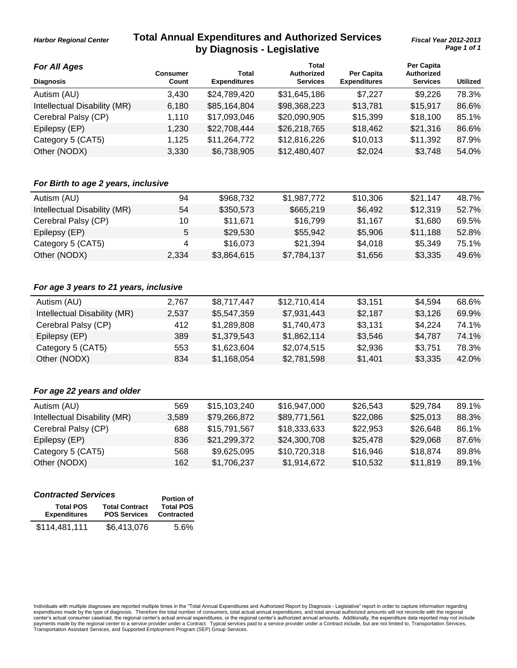#### **Total Annual Expenditures and Authorized Services by Diagnosis - Legislative**

**Total**

**Per Capita**

*For All Ages*

*Harbor Regional Center*

|       |                     | TOtal           |                     |                 |                                 |
|-------|---------------------|-----------------|---------------------|-----------------|---------------------------------|
| Count | <b>Expenditures</b> | <b>Services</b> | <b>Expenditures</b> | <b>Services</b> | <b>Utilized</b>                 |
| 3.430 | \$24,789,420        | \$31,645,186    | \$7,227             | \$9,226         | 78.3%                           |
| 6,180 | \$85,164,804        | \$98,368,223    | \$13,781            | \$15,917        | 86.6%                           |
| 1.110 | \$17,093,046        | \$20,090,905    | \$15,399            | \$18,100        | 85.1%                           |
| 1.230 | \$22,708,444        | \$26,218,765    | \$18,462            | \$21,316        | 86.6%                           |
| 1.125 | \$11,264,772        | \$12,816,226    | \$10,013            | \$11,392        | 87.9%                           |
| 3,330 | \$6,738,905         | \$12,480,407    | \$2,024             | \$3,748         | 54.0%                           |
|       | Consumer            | Total           | <b>Authorized</b>   | Per Capita      | rer Capita<br><b>Authorized</b> |

#### *For Birth to age 2 years, inclusive*

| Autism (AU)                  | 94    | \$968.732   | \$1,987,772 | \$10,306 | \$21.147 | 48.7% |
|------------------------------|-------|-------------|-------------|----------|----------|-------|
| Intellectual Disability (MR) | 54    | \$350,573   | \$665,219   | \$6.492  | \$12.319 | 52.7% |
| Cerebral Palsy (CP)          | 10    | \$11.671    | \$16.799    | \$1.167  | \$1,680  | 69.5% |
| Epilepsy (EP)                | 5.    | \$29,530    | \$55,942    | \$5,906  | \$11.188 | 52.8% |
| Category 5 (CAT5)            | Δ     | \$16,073    | \$21.394    | \$4.018  | \$5,349  | 75.1% |
| Other (NODX)                 | 2.334 | \$3,864,615 | \$7,784,137 | \$1.656  | \$3,335  | 49.6% |

#### *For age 3 years to 21 years, inclusive*

| Autism (AU)                  | 2.767 | \$8,717,447 | \$12,710,414 | \$3.151 | \$4.594 | 68.6% |
|------------------------------|-------|-------------|--------------|---------|---------|-------|
| Intellectual Disability (MR) | 2.537 | \$5,547,359 | \$7,931,443  | \$2,187 | \$3,126 | 69.9% |
| Cerebral Palsy (CP)          | 412   | \$1,289,808 | \$1,740,473  | \$3,131 | \$4.224 | 74.1% |
| Epilepsy (EP)                | 389   | \$1,379,543 | \$1,862,114  | \$3.546 | \$4.787 | 74.1% |
| Category 5 (CAT5)            | 553   | \$1,623,604 | \$2,074,515  | \$2,936 | \$3.751 | 78.3% |
| Other (NODX)                 | 834   | \$1,168,054 | \$2,781,598  | \$1.401 | \$3,335 | 42.0% |
|                              |       |             |              |         |         |       |

#### *For age 22 years and older*

| Autism (AU)                  | 569   | \$15,103,240 | \$16,947,000 | \$26,543 | \$29.784 | 89.1% |
|------------------------------|-------|--------------|--------------|----------|----------|-------|
| Intellectual Disability (MR) | 3.589 | \$79.266.872 | \$89,771,561 | \$22,086 | \$25,013 | 88.3% |
| Cerebral Palsy (CP)          | 688   | \$15,791,567 | \$18,333,633 | \$22,953 | \$26,648 | 86.1% |
| Epilepsy (EP)                | 836   | \$21,299,372 | \$24,300,708 | \$25,478 | \$29,068 | 87.6% |
| Category 5 (CAT5)            | 568   | \$9,625,095  | \$10,720,318 | \$16.946 | \$18.874 | 89.8% |
| Other (NODX)                 | 162   | \$1,706,237  | \$1.914.672  | \$10.532 | \$11.819 | 89.1% |
|                              |       |              |              |          |          |       |

| <b>Contracted Services</b>              | <b>Portion of</b>                            |                                       |
|-----------------------------------------|----------------------------------------------|---------------------------------------|
| <b>Total POS</b><br><b>Expenditures</b> | <b>Total Contract</b><br><b>POS Services</b> | <b>Total POS</b><br><b>Contracted</b> |
| \$114,481,111                           | \$6,413,076                                  | 5.6%                                  |

Individuals with multiple diagnoses are reported multiple times in the "Total Annual Expenditures and Authorized Report by Diagnosis - Legislative" report in order to capture information regarding<br>expenditures made by the center's actual consumer caseload, the regional center's actual annual expenditures, or the regional center's authorized annual amounts. Additionally, the expenditure data reported may not include<br>payments made by the regi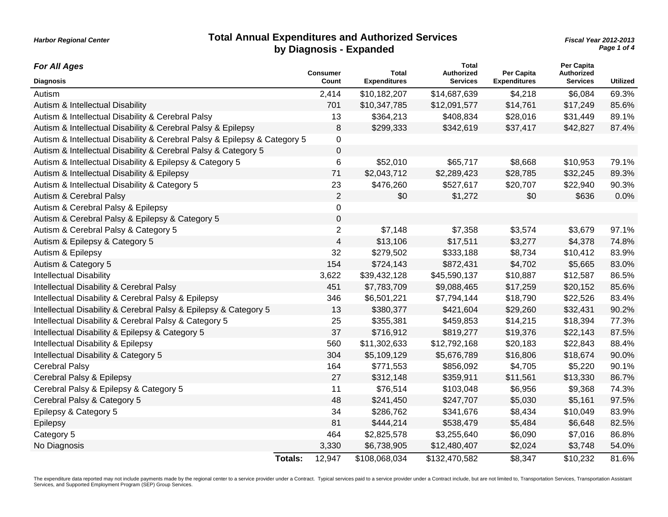#### **Total Annual Expenditures and Authorized Services by Diagnosis - Expanded**

*Page 1 of 4 Fiscal Year 2012-2013*

| <b>For All Ages</b>                                                       |                | <b>Consumer</b> | <b>Total</b>        | <b>Total</b><br>Authorized | Per Capita          | Per Capita<br>Authorized |                 |
|---------------------------------------------------------------------------|----------------|-----------------|---------------------|----------------------------|---------------------|--------------------------|-----------------|
| <b>Diagnosis</b>                                                          |                | Count           | <b>Expenditures</b> | <b>Services</b>            | <b>Expenditures</b> | <b>Services</b>          | <b>Utilized</b> |
| Autism                                                                    |                | 2,414           | \$10,182,207        | \$14,687,639               | \$4,218             | \$6,084                  | 69.3%           |
| Autism & Intellectual Disability                                          |                | 701             | \$10,347,785        | \$12,091,577               | \$14,761            | \$17,249                 | 85.6%           |
| Autism & Intellectual Disability & Cerebral Palsy                         |                | 13              | \$364,213           | \$408,834                  | \$28,016            | \$31,449                 | 89.1%           |
| Autism & Intellectual Disability & Cerebral Palsy & Epilepsy              |                | 8               | \$299,333           | \$342,619                  | \$37,417            | \$42,827                 | 87.4%           |
| Autism & Intellectual Disability & Cerebral Palsy & Epilepsy & Category 5 |                | $\mathbf 0$     |                     |                            |                     |                          |                 |
| Autism & Intellectual Disability & Cerebral Palsy & Category 5            |                | $\pmb{0}$       |                     |                            |                     |                          |                 |
| Autism & Intellectual Disability & Epilepsy & Category 5                  |                | 6               | \$52,010            | \$65,717                   | \$8,668             | \$10,953                 | 79.1%           |
| Autism & Intellectual Disability & Epilepsy                               |                | 71              | \$2,043,712         | \$2,289,423                | \$28,785            | \$32,245                 | 89.3%           |
| Autism & Intellectual Disability & Category 5                             |                | 23              | \$476,260           | \$527,617                  | \$20,707            | \$22,940                 | 90.3%           |
| Autism & Cerebral Palsy                                                   |                | $\overline{2}$  | \$0                 | \$1,272                    | \$0                 | \$636                    | 0.0%            |
| Autism & Cerebral Palsy & Epilepsy                                        |                | $\mathbf 0$     |                     |                            |                     |                          |                 |
| Autism & Cerebral Palsy & Epilepsy & Category 5                           |                | $\mathbf 0$     |                     |                            |                     |                          |                 |
| Autism & Cerebral Palsy & Category 5                                      |                | $\overline{2}$  | \$7,148             | \$7,358                    | \$3,574             | \$3,679                  | 97.1%           |
| Autism & Epilepsy & Category 5                                            |                | $\overline{4}$  | \$13,106            | \$17,511                   | \$3,277             | \$4,378                  | 74.8%           |
| Autism & Epilepsy                                                         |                | 32              | \$279,502           | \$333,188                  | \$8,734             | \$10,412                 | 83.9%           |
| Autism & Category 5                                                       |                | 154             | \$724,143           | \$872,431                  | \$4,702             | \$5,665                  | 83.0%           |
| <b>Intellectual Disability</b>                                            |                | 3,622           | \$39,432,128        | \$45,590,137               | \$10,887            | \$12,587                 | 86.5%           |
| Intellectual Disability & Cerebral Palsy                                  |                | 451             | \$7,783,709         | \$9,088,465                | \$17,259            | \$20,152                 | 85.6%           |
| Intellectual Disability & Cerebral Palsy & Epilepsy                       |                | 346             | \$6,501,221         | \$7,794,144                | \$18,790            | \$22,526                 | 83.4%           |
| Intellectual Disability & Cerebral Palsy & Epilepsy & Category 5          |                | 13              | \$380,377           | \$421,604                  | \$29,260            | \$32,431                 | 90.2%           |
| Intellectual Disability & Cerebral Palsy & Category 5                     |                | 25              | \$355,381           | \$459,853                  | \$14,215            | \$18,394                 | 77.3%           |
| Intellectual Disability & Epilepsy & Category 5                           |                | 37              | \$716,912           | \$819,277                  | \$19,376            | \$22,143                 | 87.5%           |
| Intellectual Disability & Epilepsy                                        |                | 560             | \$11,302,633        | \$12,792,168               | \$20,183            | \$22,843                 | 88.4%           |
| Intellectual Disability & Category 5                                      |                | 304             | \$5,109,129         | \$5,676,789                | \$16,806            | \$18,674                 | 90.0%           |
| <b>Cerebral Palsy</b>                                                     |                | 164             | \$771,553           | \$856,092                  | \$4,705             | \$5,220                  | 90.1%           |
| Cerebral Palsy & Epilepsy                                                 |                | 27              | \$312,148           | \$359,911                  | \$11,561            | \$13,330                 | 86.7%           |
| Cerebral Palsy & Epilepsy & Category 5                                    |                | 11              | \$76,514            | \$103,048                  | \$6,956             | \$9,368                  | 74.3%           |
| Cerebral Palsy & Category 5                                               |                | 48              | \$241,450           | \$247,707                  | \$5,030             | \$5,161                  | 97.5%           |
| Epilepsy & Category 5                                                     |                | 34              | \$286,762           | \$341,676                  | \$8,434             | \$10,049                 | 83.9%           |
| Epilepsy                                                                  |                | 81              | \$444,214           | \$538,479                  | \$5,484             | \$6,648                  | 82.5%           |
| Category 5                                                                |                | 464             | \$2,825,578         | \$3,255,640                | \$6,090             | \$7,016                  | 86.8%           |
| No Diagnosis                                                              |                | 3,330           | \$6,738,905         | \$12,480,407               | \$2,024             | \$3,748                  | 54.0%           |
|                                                                           | <b>Totals:</b> | 12,947          | \$108,068,034       | \$132,470,582              | \$8,347             | \$10,232                 | 81.6%           |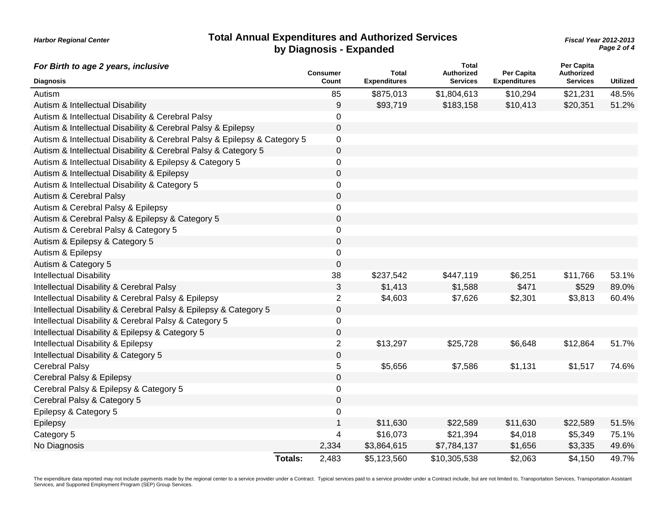| <b>Total Annual Expenditures and Authorized Services</b> |
|----------------------------------------------------------|
| by Diagnosis - Expanded                                  |

#### *Page 2 of 4 Fiscal Year 2012-2013*

| For Birth to age 2 years, inclusive                                       |                |                          |                              | <b>Total</b>                         |                                   | Per Capita                    |                 |
|---------------------------------------------------------------------------|----------------|--------------------------|------------------------------|--------------------------------------|-----------------------------------|-------------------------------|-----------------|
| <b>Diagnosis</b>                                                          |                | <b>Consumer</b><br>Count | Total<br><b>Expenditures</b> | <b>Authorized</b><br><b>Services</b> | Per Capita<br><b>Expenditures</b> | Authorized<br><b>Services</b> | <b>Utilized</b> |
| Autism                                                                    |                | 85                       | \$875,013                    | \$1,804,613                          | \$10,294                          | \$21,231                      | 48.5%           |
| Autism & Intellectual Disability                                          |                | 9                        | \$93,719                     | \$183,158                            | \$10,413                          | \$20,351                      | 51.2%           |
| Autism & Intellectual Disability & Cerebral Palsy                         |                | 0                        |                              |                                      |                                   |                               |                 |
| Autism & Intellectual Disability & Cerebral Palsy & Epilepsy              |                | $\mathsf 0$              |                              |                                      |                                   |                               |                 |
| Autism & Intellectual Disability & Cerebral Palsy & Epilepsy & Category 5 |                | 0                        |                              |                                      |                                   |                               |                 |
| Autism & Intellectual Disability & Cerebral Palsy & Category 5            |                | $\mathbf 0$              |                              |                                      |                                   |                               |                 |
| Autism & Intellectual Disability & Epilepsy & Category 5                  |                | 0                        |                              |                                      |                                   |                               |                 |
| Autism & Intellectual Disability & Epilepsy                               |                | $\mathbf 0$              |                              |                                      |                                   |                               |                 |
| Autism & Intellectual Disability & Category 5                             |                | $\mathbf 0$              |                              |                                      |                                   |                               |                 |
| Autism & Cerebral Palsy                                                   |                | 0                        |                              |                                      |                                   |                               |                 |
| Autism & Cerebral Palsy & Epilepsy                                        |                | $\mathsf 0$              |                              |                                      |                                   |                               |                 |
| Autism & Cerebral Palsy & Epilepsy & Category 5                           |                | $\mathsf 0$              |                              |                                      |                                   |                               |                 |
| Autism & Cerebral Palsy & Category 5                                      |                | $\mathbf 0$              |                              |                                      |                                   |                               |                 |
| Autism & Epilepsy & Category 5                                            |                | $\mathbf 0$              |                              |                                      |                                   |                               |                 |
| Autism & Epilepsy                                                         |                | $\mathbf 0$              |                              |                                      |                                   |                               |                 |
| Autism & Category 5                                                       |                | $\pmb{0}$                |                              |                                      |                                   |                               |                 |
| <b>Intellectual Disability</b>                                            |                | 38                       | \$237,542                    | \$447,119                            | \$6,251                           | \$11,766                      | 53.1%           |
| Intellectual Disability & Cerebral Palsy                                  |                | 3                        | \$1,413                      | \$1,588                              | \$471                             | \$529                         | 89.0%           |
| Intellectual Disability & Cerebral Palsy & Epilepsy                       |                | $\overline{2}$           | \$4,603                      | \$7,626                              | \$2,301                           | \$3,813                       | 60.4%           |
| Intellectual Disability & Cerebral Palsy & Epilepsy & Category 5          |                | $\pmb{0}$                |                              |                                      |                                   |                               |                 |
| Intellectual Disability & Cerebral Palsy & Category 5                     |                | 0                        |                              |                                      |                                   |                               |                 |
| Intellectual Disability & Epilepsy & Category 5                           |                | $\mathsf 0$              |                              |                                      |                                   |                               |                 |
| Intellectual Disability & Epilepsy                                        |                | $\overline{c}$           | \$13,297                     | \$25,728                             | \$6,648                           | \$12,864                      | 51.7%           |
| Intellectual Disability & Category 5                                      |                | $\mathbf 0$              |                              |                                      |                                   |                               |                 |
| <b>Cerebral Palsy</b>                                                     |                | 5                        | \$5,656                      | \$7,586                              | \$1,131                           | \$1,517                       | 74.6%           |
| Cerebral Palsy & Epilepsy                                                 |                | 0                        |                              |                                      |                                   |                               |                 |
| Cerebral Palsy & Epilepsy & Category 5                                    |                | $\mathbf 0$              |                              |                                      |                                   |                               |                 |
| Cerebral Palsy & Category 5                                               |                | $\mathbf 0$              |                              |                                      |                                   |                               |                 |
| Epilepsy & Category 5                                                     |                | $\mathsf 0$              |                              |                                      |                                   |                               |                 |
| Epilepsy                                                                  |                | $\mathbf{1}$             | \$11,630                     | \$22,589                             | \$11,630                          | \$22,589                      | 51.5%           |
| Category 5                                                                |                | 4                        | \$16,073                     | \$21,394                             | \$4,018                           | \$5,349                       | 75.1%           |
| No Diagnosis                                                              |                | 2,334                    | \$3,864,615                  | \$7,784,137                          | \$1,656                           | \$3,335                       | 49.6%           |
|                                                                           | <b>Totals:</b> | 2,483                    | \$5,123,560                  | \$10,305,538                         | \$2,063                           | \$4,150                       | 49.7%           |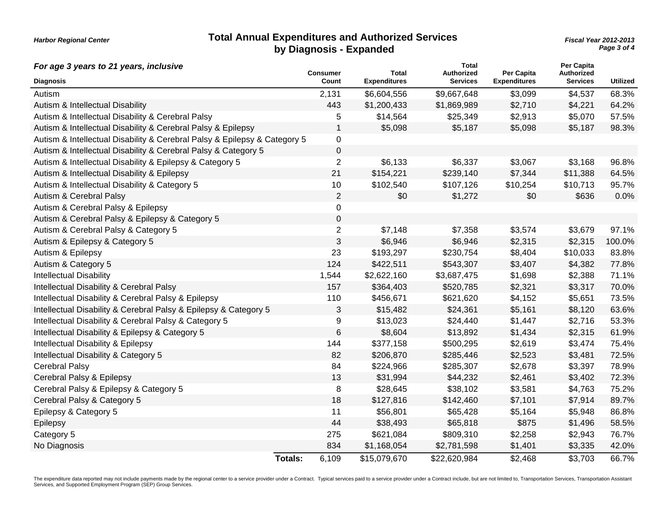| <b>Total Annual Expenditures and Authorized Services</b> |  |
|----------------------------------------------------------|--|
| by Diagnosis - Expanded                                  |  |

*Page 3 of 4 Fiscal Year 2012-2013*

| For age 3 years to 21 years, inclusive                                    |                | <b>Consumer</b> | <b>Total</b>        | Total<br>Authorized | Per Capita          | Per Capita<br>Authorized |                 |
|---------------------------------------------------------------------------|----------------|-----------------|---------------------|---------------------|---------------------|--------------------------|-----------------|
| <b>Diagnosis</b>                                                          |                | Count           | <b>Expenditures</b> | <b>Services</b>     | <b>Expenditures</b> | <b>Services</b>          | <b>Utilized</b> |
| Autism                                                                    |                | 2,131           | \$6,604,556         | \$9,667,648         | \$3,099             | \$4,537                  | 68.3%           |
| Autism & Intellectual Disability                                          |                | 443             | \$1,200,433         | \$1,869,989         | \$2,710             | \$4,221                  | 64.2%           |
| Autism & Intellectual Disability & Cerebral Palsy                         |                | 5               | \$14,564            | \$25,349            | \$2,913             | \$5,070                  | 57.5%           |
| Autism & Intellectual Disability & Cerebral Palsy & Epilepsy              |                | 1               | \$5,098             | \$5,187             | \$5,098             | \$5,187                  | 98.3%           |
| Autism & Intellectual Disability & Cerebral Palsy & Epilepsy & Category 5 |                | 0               |                     |                     |                     |                          |                 |
| Autism & Intellectual Disability & Cerebral Palsy & Category 5            |                | 0               |                     |                     |                     |                          |                 |
| Autism & Intellectual Disability & Epilepsy & Category 5                  |                | $\overline{2}$  | \$6,133             | \$6,337             | \$3,067             | \$3,168                  | 96.8%           |
| Autism & Intellectual Disability & Epilepsy                               |                | 21              | \$154,221           | \$239,140           | \$7,344             | \$11,388                 | 64.5%           |
| Autism & Intellectual Disability & Category 5                             |                | 10              | \$102,540           | \$107,126           | \$10,254            | \$10,713                 | 95.7%           |
| Autism & Cerebral Palsy                                                   |                | $\overline{2}$  | \$0                 | \$1,272             | \$0                 | \$636                    | 0.0%            |
| Autism & Cerebral Palsy & Epilepsy                                        |                | 0               |                     |                     |                     |                          |                 |
| Autism & Cerebral Palsy & Epilepsy & Category 5                           |                | 0               |                     |                     |                     |                          |                 |
| Autism & Cerebral Palsy & Category 5                                      |                | $\overline{c}$  | \$7,148             | \$7,358             | \$3,574             | \$3,679                  | 97.1%           |
| Autism & Epilepsy & Category 5                                            |                | 3               | \$6,946             | \$6,946             | \$2,315             | \$2,315                  | 100.0%          |
| Autism & Epilepsy                                                         |                | 23              | \$193,297           | \$230,754           | \$8,404             | \$10,033                 | 83.8%           |
| Autism & Category 5                                                       |                | 124             | \$422,511           | \$543,307           | \$3,407             | \$4,382                  | 77.8%           |
| <b>Intellectual Disability</b>                                            |                | 1,544           | \$2,622,160         | \$3,687,475         | \$1,698             | \$2,388                  | 71.1%           |
| Intellectual Disability & Cerebral Palsy                                  |                | 157             | \$364,403           | \$520,785           | \$2,321             | \$3,317                  | 70.0%           |
| Intellectual Disability & Cerebral Palsy & Epilepsy                       |                | 110             | \$456,671           | \$621,620           | \$4,152             | \$5,651                  | 73.5%           |
| Intellectual Disability & Cerebral Palsy & Epilepsy & Category 5          |                | 3               | \$15,482            | \$24,361            | \$5,161             | \$8,120                  | 63.6%           |
| Intellectual Disability & Cerebral Palsy & Category 5                     |                | 9               | \$13,023            | \$24,440            | \$1,447             | \$2,716                  | 53.3%           |
| Intellectual Disability & Epilepsy & Category 5                           |                | 6               | \$8,604             | \$13,892            | \$1,434             | \$2,315                  | 61.9%           |
| Intellectual Disability & Epilepsy                                        |                | 144             | \$377,158           | \$500,295           | \$2,619             | \$3,474                  | 75.4%           |
| Intellectual Disability & Category 5                                      |                | 82              | \$206,870           | \$285,446           | \$2,523             | \$3,481                  | 72.5%           |
| <b>Cerebral Palsy</b>                                                     |                | 84              | \$224,966           | \$285,307           | \$2,678             | \$3,397                  | 78.9%           |
| Cerebral Palsy & Epilepsy                                                 |                | 13              | \$31,994            | \$44,232            | \$2,461             | \$3,402                  | 72.3%           |
| Cerebral Palsy & Epilepsy & Category 5                                    |                | $\,8\,$         | \$28,645            | \$38,102            | \$3,581             | \$4,763                  | 75.2%           |
| Cerebral Palsy & Category 5                                               |                | 18              | \$127,816           | \$142,460           | \$7,101             | \$7,914                  | 89.7%           |
| Epilepsy & Category 5                                                     |                | 11              | \$56,801            | \$65,428            | \$5,164             | \$5,948                  | 86.8%           |
| Epilepsy                                                                  |                | 44              | \$38,493            | \$65,818            | \$875               | \$1,496                  | 58.5%           |
| Category 5                                                                |                | 275             | \$621,084           | \$809,310           | \$2,258             | \$2,943                  | 76.7%           |
| No Diagnosis                                                              |                | 834             | \$1,168,054         | \$2,781,598         | \$1,401             | \$3,335                  | 42.0%           |
|                                                                           | <b>Totals:</b> | 6,109           | \$15,079,670        | \$22,620,984        | \$2,468             | \$3,703                  | 66.7%           |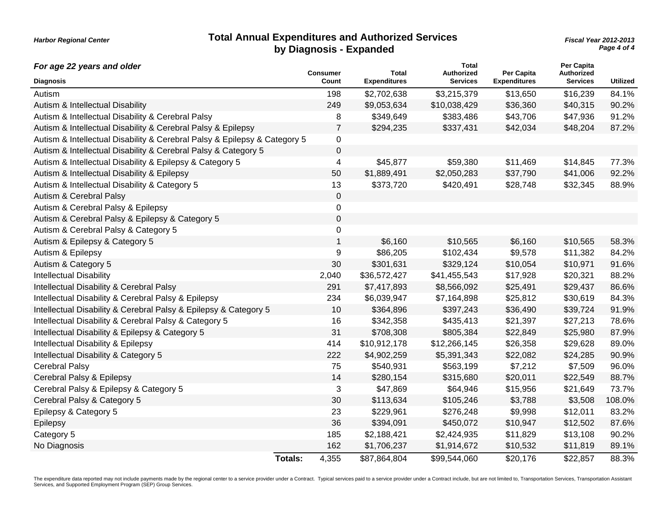#### **Total Annual Expenditures and Authorized Services by Diagnosis - Expanded**

*Harbor Regional Center*

*Page 4 of 4 Fiscal Year 2012-2013*

| For age 22 years and older                                                |                | <b>Consumer</b> | <b>Total</b>        | <b>Total</b><br>Authorized | Per Capita          | Per Capita<br><b>Authorized</b> |                 |
|---------------------------------------------------------------------------|----------------|-----------------|---------------------|----------------------------|---------------------|---------------------------------|-----------------|
| <b>Diagnosis</b>                                                          |                | Count           | <b>Expenditures</b> | <b>Services</b>            | <b>Expenditures</b> | <b>Services</b>                 | <b>Utilized</b> |
| Autism                                                                    |                | 198             | \$2,702,638         | \$3,215,379                | \$13,650            | \$16,239                        | 84.1%           |
| Autism & Intellectual Disability                                          |                | 249             | \$9,053,634         | \$10,038,429               | \$36,360            | \$40,315                        | 90.2%           |
| Autism & Intellectual Disability & Cerebral Palsy                         |                | 8               | \$349,649           | \$383,486                  | \$43,706            | \$47,936                        | 91.2%           |
| Autism & Intellectual Disability & Cerebral Palsy & Epilepsy              |                | 7               | \$294,235           | \$337,431                  | \$42,034            | \$48,204                        | 87.2%           |
| Autism & Intellectual Disability & Cerebral Palsy & Epilepsy & Category 5 |                | 0               |                     |                            |                     |                                 |                 |
| Autism & Intellectual Disability & Cerebral Palsy & Category 5            |                | 0               |                     |                            |                     |                                 |                 |
| Autism & Intellectual Disability & Epilepsy & Category 5                  |                | 4               | \$45,877            | \$59,380                   | \$11,469            | \$14,845                        | 77.3%           |
| Autism & Intellectual Disability & Epilepsy                               |                | 50              | \$1,889,491         | \$2,050,283                | \$37,790            | \$41,006                        | 92.2%           |
| Autism & Intellectual Disability & Category 5                             |                | 13              | \$373,720           | \$420,491                  | \$28,748            | \$32,345                        | 88.9%           |
| Autism & Cerebral Palsy                                                   |                | 0               |                     |                            |                     |                                 |                 |
| Autism & Cerebral Palsy & Epilepsy                                        |                | 0               |                     |                            |                     |                                 |                 |
| Autism & Cerebral Palsy & Epilepsy & Category 5                           |                | 0               |                     |                            |                     |                                 |                 |
| Autism & Cerebral Palsy & Category 5                                      |                | 0               |                     |                            |                     |                                 |                 |
| Autism & Epilepsy & Category 5                                            |                | 1               | \$6,160             | \$10,565                   | \$6,160             | \$10,565                        | 58.3%           |
| Autism & Epilepsy                                                         |                | 9               | \$86,205            | \$102,434                  | \$9,578             | \$11,382                        | 84.2%           |
| Autism & Category 5                                                       |                | 30              | \$301,631           | \$329,124                  | \$10,054            | \$10,971                        | 91.6%           |
| <b>Intellectual Disability</b>                                            |                | 2,040           | \$36,572,427        | \$41,455,543               | \$17,928            | \$20,321                        | 88.2%           |
| Intellectual Disability & Cerebral Palsy                                  |                | 291             | \$7,417,893         | \$8,566,092                | \$25,491            | \$29,437                        | 86.6%           |
| Intellectual Disability & Cerebral Palsy & Epilepsy                       |                | 234             | \$6,039,947         | \$7,164,898                | \$25,812            | \$30,619                        | 84.3%           |
| Intellectual Disability & Cerebral Palsy & Epilepsy & Category 5          |                | 10              | \$364,896           | \$397,243                  | \$36,490            | \$39,724                        | 91.9%           |
| Intellectual Disability & Cerebral Palsy & Category 5                     |                | 16              | \$342,358           | \$435,413                  | \$21,397            | \$27,213                        | 78.6%           |
| Intellectual Disability & Epilepsy & Category 5                           |                | 31              | \$708,308           | \$805,384                  | \$22,849            | \$25,980                        | 87.9%           |
| Intellectual Disability & Epilepsy                                        |                | 414             | \$10,912,178        | \$12,266,145               | \$26,358            | \$29,628                        | 89.0%           |
| Intellectual Disability & Category 5                                      |                | 222             | \$4,902,259         | \$5,391,343                | \$22,082            | \$24,285                        | 90.9%           |
| <b>Cerebral Palsy</b>                                                     |                | 75              | \$540,931           | \$563,199                  | \$7,212             | \$7,509                         | 96.0%           |
| Cerebral Palsy & Epilepsy                                                 |                | 14              | \$280,154           | \$315,680                  | \$20,011            | \$22,549                        | 88.7%           |
| Cerebral Palsy & Epilepsy & Category 5                                    |                | 3               | \$47,869            | \$64,946                   | \$15,956            | \$21,649                        | 73.7%           |
| Cerebral Palsy & Category 5                                               |                | 30              | \$113,634           | \$105,246                  | \$3,788             | \$3,508                         | 108.0%          |
| Epilepsy & Category 5                                                     |                | 23              | \$229,961           | \$276,248                  | \$9,998             | \$12,011                        | 83.2%           |
| Epilepsy                                                                  |                | 36              | \$394,091           | \$450,072                  | \$10,947            | \$12,502                        | 87.6%           |
| Category 5                                                                |                | 185             | \$2,188,421         | \$2,424,935                | \$11,829            | \$13,108                        | 90.2%           |
| No Diagnosis                                                              |                | 162             | \$1,706,237         | \$1,914,672                | \$10,532            | \$11,819                        | 89.1%           |
|                                                                           | <b>Totals:</b> | 4,355           | \$87,864,804        | \$99,544,060               | \$20,176            | \$22,857                        | 88.3%           |

The expenditure data reported may not include payments made by the regional center to a service provider under a Contract. Typical services paid to a service provider under a Contract include, but are not limited to, Trans Services, and Supported Employment Program (SEP) Group Services.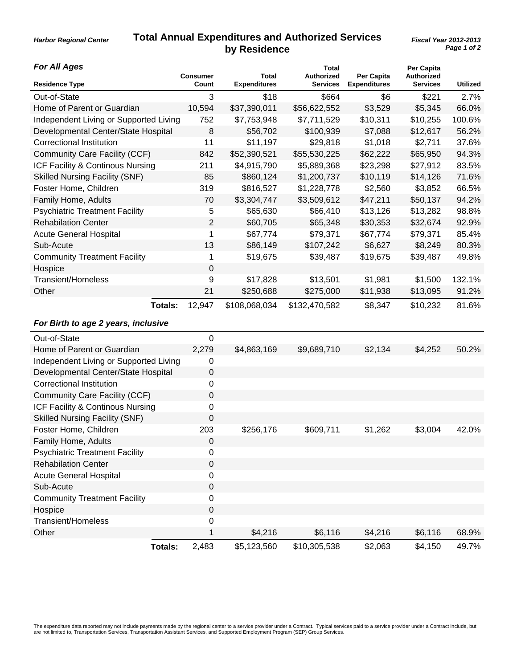#### **Total Annual Expenditures and Authorized Services by Residence**

**Total**

**Per Capita**

*For All Ages*

*Harbor Regional Center*

| <b>Residence Type</b>                  | <b>Consumer</b><br>Count | <b>Total</b><br><b>Expenditures</b> | Authorized<br><b>Services</b> | Per Capita<br><b>Expenditures</b> | Authorized<br><b>Services</b> | <b>Utilized</b> |
|----------------------------------------|--------------------------|-------------------------------------|-------------------------------|-----------------------------------|-------------------------------|-----------------|
| Out-of-State                           | 3                        | \$18                                | \$664                         | \$6                               | \$221                         | 2.7%            |
| Home of Parent or Guardian             | 10,594                   | \$37,390,011                        | \$56,622,552                  | \$3,529                           | \$5,345                       | 66.0%           |
| Independent Living or Supported Living | 752                      | \$7,753,948                         | \$7,711,529                   | \$10,311                          | \$10,255                      | 100.6%          |
| Developmental Center/State Hospital    | $\boldsymbol{8}$         | \$56,702                            | \$100,939                     | \$7,088                           | \$12,617                      | 56.2%           |
| <b>Correctional Institution</b>        | 11                       | \$11,197                            | \$29,818                      | \$1,018                           | \$2,711                       | 37.6%           |
| Community Care Facility (CCF)          | 842                      | \$52,390,521                        | \$55,530,225                  | \$62,222                          | \$65,950                      | 94.3%           |
| ICF Facility & Continous Nursing       | 211                      | \$4,915,790                         | \$5,889,368                   | \$23,298                          | \$27,912                      | 83.5%           |
| <b>Skilled Nursing Facility (SNF)</b>  | 85                       | \$860,124                           | \$1,200,737                   | \$10,119                          | \$14,126                      | 71.6%           |
| Foster Home, Children                  | 319                      | \$816,527                           | \$1,228,778                   | \$2,560                           | \$3,852                       | 66.5%           |
| Family Home, Adults                    | 70                       | \$3,304,747                         | \$3,509,612                   | \$47,211                          | \$50,137                      | 94.2%           |
| <b>Psychiatric Treatment Facility</b>  | 5                        | \$65,630                            | \$66,410                      | \$13,126                          | \$13,282                      | 98.8%           |
| <b>Rehabilation Center</b>             | 2                        | \$60,705                            | \$65,348                      | \$30,353                          | \$32,674                      | 92.9%           |
| <b>Acute General Hospital</b>          | 1                        | \$67,774                            | \$79,371                      | \$67,774                          | \$79,371                      | 85.4%           |
| Sub-Acute                              | 13                       | \$86,149                            | \$107,242                     | \$6,627                           | \$8,249                       | 80.3%           |
| <b>Community Treatment Facility</b>    | 1                        | \$19,675                            | \$39,487                      | \$19,675                          | \$39,487                      | 49.8%           |
| Hospice                                | 0                        |                                     |                               |                                   |                               |                 |
| <b>Transient/Homeless</b>              | 9                        | \$17,828                            | \$13,501                      | \$1,981                           | \$1,500                       | 132.1%          |
| Other                                  | 21                       | \$250,688                           | \$275,000                     | \$11,938                          | \$13,095                      | 91.2%           |
| Totals:                                | 12,947                   | \$108,068,034                       | \$132,470,582                 | \$8,347                           | \$10,232                      | 81.6%           |
| For Birth to age 2 years, inclusive    |                          |                                     |                               |                                   |                               |                 |
| Out-of-State                           | 0                        |                                     |                               |                                   |                               |                 |
| Home of Parent or Guardian             | 2,279                    | \$4,863,169                         | \$9,689,710                   | \$2,134                           | \$4,252                       | 50.2%           |
| Independent Living or Supported Living | 0                        |                                     |                               |                                   |                               |                 |
| Developmental Center/State Hospital    | 0                        |                                     |                               |                                   |                               |                 |
| <b>Correctional Institution</b>        | 0                        |                                     |                               |                                   |                               |                 |
| Community Care Facility (CCF)          | $\mathsf 0$              |                                     |                               |                                   |                               |                 |
| ICF Facility & Continous Nursing       | 0                        |                                     |                               |                                   |                               |                 |
| <b>Skilled Nursing Facility (SNF)</b>  | $\mathbf 0$              |                                     |                               |                                   |                               |                 |
| Foster Home, Children                  | 203                      | \$256,176                           | \$609,711                     | \$1,262                           | \$3,004                       | 42.0%           |
| Family Home, Adults                    | 0                        |                                     |                               |                                   |                               |                 |
| <b>Psychiatric Treatment Facility</b>  | 0                        |                                     |                               |                                   |                               |                 |
| <b>Rehabilation Center</b>             | $\boldsymbol{0}$         |                                     |                               |                                   |                               |                 |
| <b>Acute General Hospital</b>          | $\mathsf 0$              |                                     |                               |                                   |                               |                 |
| Sub-Acute                              | 0                        |                                     |                               |                                   |                               |                 |
| <b>Community Treatment Facility</b>    | 0                        |                                     |                               |                                   |                               |                 |
| Hospice                                | 0                        |                                     |                               |                                   |                               |                 |
| <b>Transient/Homeless</b>              | 0                        |                                     |                               |                                   |                               |                 |
| Other                                  | 1                        | \$4,216                             | \$6,116                       | \$4,216                           | \$6,116                       | 68.9%           |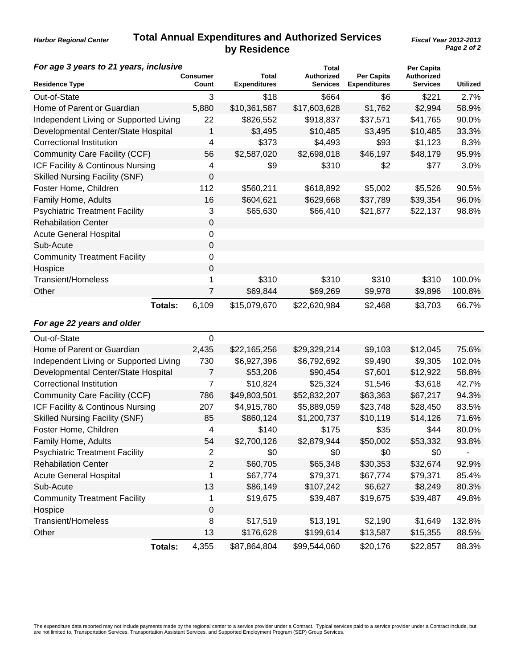#### **Total Annual Expenditures and Authorized Services by Residence**

*Harbor Regional Center*

| For age 3 years to 21 years, inclusive |                |                   |                              | <b>Total</b>                         |                                   | <b>Per Capita</b>             |                 |
|----------------------------------------|----------------|-------------------|------------------------------|--------------------------------------|-----------------------------------|-------------------------------|-----------------|
| <b>Residence Type</b>                  |                | Consumer<br>Count | Total<br><b>Expenditures</b> | <b>Authorized</b><br><b>Services</b> | Per Capita<br><b>Expenditures</b> | Authorized<br><b>Services</b> | <b>Utilized</b> |
| Out-of-State                           |                | 3                 | \$18                         | \$664                                | \$6                               | \$221                         | 2.7%            |
| Home of Parent or Guardian             |                | 5,880             | \$10,361,587                 | \$17,603,628                         | \$1,762                           | \$2,994                       | 58.9%           |
| Independent Living or Supported Living |                | 22                | \$826,552                    | \$918,837                            | \$37,571                          | \$41,765                      | 90.0%           |
| Developmental Center/State Hospital    |                | 1                 | \$3,495                      | \$10,485                             | \$3,495                           | \$10,485                      | 33.3%           |
| <b>Correctional Institution</b>        |                | 4                 | \$373                        | \$4,493                              | \$93                              | \$1,123                       | 8.3%            |
| Community Care Facility (CCF)          |                | 56                | \$2,587,020                  | \$2,698,018                          | \$46,197                          | \$48,179                      | 95.9%           |
| ICF Facility & Continous Nursing       |                | 4                 | \$9                          | \$310                                | \$2                               | \$77                          | 3.0%            |
| <b>Skilled Nursing Facility (SNF)</b>  |                | 0                 |                              |                                      |                                   |                               |                 |
| Foster Home, Children                  |                | 112               | \$560,211                    | \$618,892                            | \$5,002                           | \$5,526                       | 90.5%           |
| Family Home, Adults                    |                | 16                | \$604,621                    | \$629,668                            | \$37,789                          | \$39,354                      | 96.0%           |
| <b>Psychiatric Treatment Facility</b>  |                | 3                 | \$65,630                     | \$66,410                             | \$21,877                          | \$22,137                      | 98.8%           |
| <b>Rehabilation Center</b>             |                | 0                 |                              |                                      |                                   |                               |                 |
| <b>Acute General Hospital</b>          |                | 0                 |                              |                                      |                                   |                               |                 |
| Sub-Acute                              |                | 0                 |                              |                                      |                                   |                               |                 |
| <b>Community Treatment Facility</b>    |                | 0                 |                              |                                      |                                   |                               |                 |
| Hospice                                |                | 0                 |                              |                                      |                                   |                               |                 |
| <b>Transient/Homeless</b>              |                | 1                 | \$310                        | \$310                                | \$310                             | \$310                         | 100.0%          |
| Other                                  |                | 7                 | \$69,844                     | \$69,269                             | \$9,978                           | \$9,896                       | 100.8%          |
|                                        | Totals:        | 6,109             | \$15,079,670                 | \$22,620,984                         | \$2,468                           | \$3,703                       | 66.7%           |
| For age 22 years and older             |                |                   |                              |                                      |                                   |                               |                 |
| Out-of-State                           |                | 0                 |                              |                                      |                                   |                               |                 |
| Home of Parent or Guardian             |                | 2,435             | \$22,165,256                 | \$29,329,214                         | \$9,103                           | \$12,045                      | 75.6%           |
| Independent Living or Supported Living |                | 730               | \$6,927,396                  | \$6,792,692                          | \$9,490                           | \$9,305                       | 102.0%          |
| Developmental Center/State Hospital    |                | $\overline{7}$    | \$53,206                     | \$90,454                             | \$7,601                           | \$12,922                      | 58.8%           |
| <b>Correctional Institution</b>        |                | 7                 | \$10,824                     | \$25,324                             | \$1,546                           | \$3,618                       | 42.7%           |
| Community Care Facility (CCF)          |                | 786               | \$49,803,501                 | \$52,832,207                         | \$63,363                          | \$67,217                      | 94.3%           |
| ICF Facility & Continous Nursing       |                | 207               | \$4,915,780                  | \$5,889,059                          | \$23,748                          | \$28,450                      | 83.5%           |
| <b>Skilled Nursing Facility (SNF)</b>  |                | 85                | \$860,124                    | \$1,200,737                          | \$10,119                          | \$14,126                      | 71.6%           |
| Foster Home, Children                  |                | 4                 | \$140                        | \$175                                | \$35                              | \$44                          | 80.0%           |
| Family Home, Adults                    |                | 54                | \$2,700,126                  | \$2,879,944                          | \$50,002                          | \$53,332                      | 93.8%           |
| <b>Psychiatric Treatment Facility</b>  |                | 2                 | \$0                          | \$0                                  | \$0                               | \$0                           |                 |
| <b>Rehabilation Center</b>             |                | 2                 | \$60,705                     | \$65,348                             | \$30,353                          | \$32,674                      | 92.9%           |
| <b>Acute General Hospital</b>          |                | 1                 | \$67,774                     | \$79,371                             | \$67,774                          | \$79,371                      | 85.4%           |
| Sub-Acute                              |                | 13                | \$86,149                     | \$107,242                            | \$6,627                           | \$8,249                       | 80.3%           |
| <b>Community Treatment Facility</b>    |                | 1                 | \$19,675                     | \$39,487                             | \$19,675                          | \$39,487                      | 49.8%           |
| Hospice                                |                | 0                 |                              |                                      |                                   |                               |                 |
| <b>Transient/Homeless</b>              |                | 8                 | \$17,519                     | \$13,191                             | \$2,190                           | \$1,649                       | 132.8%          |
| Other                                  |                | 13                | \$176,628                    | \$199,614                            | \$13,587                          | \$15,355                      | 88.5%           |
|                                        | <b>Totals:</b> | 4,355             | \$87,864,804                 | \$99,544,060                         | \$20,176                          | \$22,857                      | 88.3%           |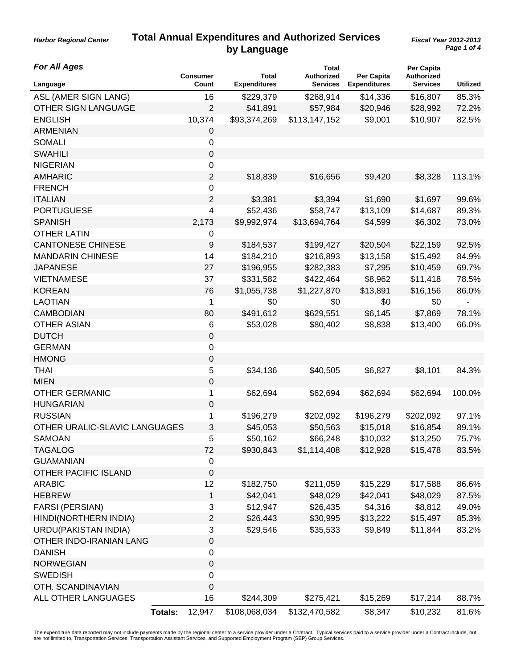*Harbor Regional Center*

| <b>For All Ages</b>           | <b>Consumer</b> | Total               | <b>Total</b><br><b>Authorized</b> | Per Capita          | Per Capita<br>Authorized |          |
|-------------------------------|-----------------|---------------------|-----------------------------------|---------------------|--------------------------|----------|
| Language                      | Count           | <b>Expenditures</b> | <b>Services</b>                   | <b>Expenditures</b> | <b>Services</b>          | Utilized |
| ASL (AMER SIGN LANG)          | 16              | \$229,379           | \$268,914                         | \$14,336            | \$16,807                 | 85.3%    |
| <b>OTHER SIGN LANGUAGE</b>    | 2               | \$41,891            | \$57,984                          | \$20,946            | \$28,992                 | 72.2%    |
| <b>ENGLISH</b>                | 10,374          | \$93,374,269        | \$113,147,152                     | \$9,001             | \$10,907                 | 82.5%    |
| <b>ARMENIAN</b>               | 0               |                     |                                   |                     |                          |          |
| <b>SOMALI</b>                 | 0               |                     |                                   |                     |                          |          |
| <b>SWAHILI</b>                | 0               |                     |                                   |                     |                          |          |
| <b>NIGERIAN</b>               | 0               |                     |                                   |                     |                          |          |
| <b>AMHARIC</b>                | $\overline{2}$  | \$18,839            | \$16,656                          | \$9,420             | \$8,328                  | 113.1%   |
| <b>FRENCH</b>                 | 0               |                     |                                   |                     |                          |          |
| <b>ITALIAN</b>                | $\overline{2}$  | \$3,381             | \$3,394                           | \$1,690             | \$1,697                  | 99.6%    |
| <b>PORTUGUESE</b>             | 4               | \$52,436            | \$58,747                          | \$13,109            | \$14,687                 | 89.3%    |
| <b>SPANISH</b>                | 2,173           | \$9,992,974         | \$13,694,764                      | \$4,599             | \$6,302                  | 73.0%    |
| <b>OTHER LATIN</b>            | 0               |                     |                                   |                     |                          |          |
| <b>CANTONESE CHINESE</b>      | 9               | \$184,537           | \$199,427                         | \$20,504            | \$22,159                 | 92.5%    |
| <b>MANDARIN CHINESE</b>       | 14              | \$184,210           | \$216,893                         | \$13,158            | \$15,492                 | 84.9%    |
| <b>JAPANESE</b>               | 27              | \$196,955           | \$282,383                         | \$7,295             | \$10,459                 | 69.7%    |
| <b>VIETNAMESE</b>             | 37              | \$331,582           | \$422,464                         | \$8,962             | \$11,418                 | 78.5%    |
| <b>KOREAN</b>                 | 76              | \$1,055,738         | \$1,227,870                       | \$13,891            | \$16,156                 | 86.0%    |
| <b>LAOTIAN</b>                | 1               | \$0                 | \$0                               | \$0                 | \$0                      |          |
| <b>CAMBODIAN</b>              | 80              | \$491,612           | \$629,551                         | \$6,145             | \$7,869                  | 78.1%    |
| <b>OTHER ASIAN</b>            | 6               | \$53,028            | \$80,402                          | \$8,838             | \$13,400                 | 66.0%    |
| <b>DUTCH</b>                  | $\mathsf 0$     |                     |                                   |                     |                          |          |
| <b>GERMAN</b>                 | 0               |                     |                                   |                     |                          |          |
| <b>HMONG</b>                  | $\mathbf 0$     |                     |                                   |                     |                          |          |
| <b>THAI</b>                   | 5               | \$34,136            | \$40,505                          | \$6,827             | \$8,101                  | 84.3%    |
| <b>MIEN</b>                   | 0               |                     |                                   |                     |                          |          |
| <b>OTHER GERMANIC</b>         | 1               | \$62,694            | \$62,694                          | \$62,694            | \$62,694                 | 100.0%   |
| <b>HUNGARIAN</b>              | $\mathsf 0$     |                     |                                   |                     |                          |          |
| <b>RUSSIAN</b>                | 1               | \$196,279           | \$202,092                         | \$196,279           | \$202,092                | 97.1%    |
| OTHER URALIC-SLAVIC LANGUAGES | 3               | \$45,053            | \$50,563                          | \$15,018            | \$16,854                 | 89.1%    |
| SAMOAN                        | 5               | \$50,162            | \$66,248                          | \$10,032            | \$13,250                 | 75.7%    |
| <b>TAGALOG</b>                | 72              | \$930,843           | \$1,114,408                       | \$12,928            | \$15,478                 | 83.5%    |
| <b>GUAMANIAN</b>              | $\pmb{0}$       |                     |                                   |                     |                          |          |
| <b>OTHER PACIFIC ISLAND</b>   | 0               |                     |                                   |                     |                          |          |
| <b>ARABIC</b>                 | 12              | \$182,750           | \$211,059                         | \$15,229            | \$17,588                 | 86.6%    |
| <b>HEBREW</b>                 | $\mathbf{1}$    | \$42,041            | \$48,029                          | \$42,041            | \$48,029                 | 87.5%    |
| FARSI (PERSIAN)               | 3               | \$12,947            | \$26,435                          | \$4,316             | \$8,812                  | 49.0%    |
| HINDI(NORTHERN INDIA)         | 2               | \$26,443            | \$30,995                          | \$13,222            | \$15,497                 | 85.3%    |
| URDU(PAKISTAN INDIA)          | 3               | \$29,546            | \$35,533                          | \$9,849             | \$11,844                 | 83.2%    |
| OTHER INDO-IRANIAN LANG       | $\mathsf 0$     |                     |                                   |                     |                          |          |
| <b>DANISH</b>                 | 0               |                     |                                   |                     |                          |          |
| <b>NORWEGIAN</b>              | 0               |                     |                                   |                     |                          |          |
| <b>SWEDISH</b>                | 0               |                     |                                   |                     |                          |          |
| OTH. SCANDINAVIAN             | 0               |                     |                                   |                     |                          |          |
| ALL OTHER LANGUAGES           | 16              | \$244,309           | \$275,421                         | \$15,269            | \$17,214                 | 88.7%    |
| <b>Totals:</b>                | 12,947          | \$108,068,034       | \$132,470,582                     | \$8,347             | \$10,232                 | 81.6%    |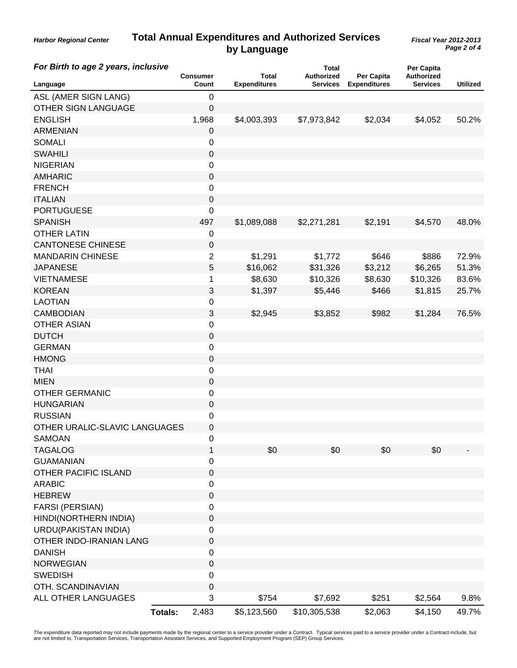*Harbor Regional Center*

| For Birth to age 2 years, inclusive | <b>Consumer</b>         | <b>Total</b>        | <b>Total</b><br><b>Authorized</b> | Per Capita          | Per Capita<br>Authorized |                 |
|-------------------------------------|-------------------------|---------------------|-----------------------------------|---------------------|--------------------------|-----------------|
| Language                            | Count                   | <b>Expenditures</b> | <b>Services</b>                   | <b>Expenditures</b> | <b>Services</b>          | <b>Utilized</b> |
| ASL (AMER SIGN LANG)                | 0                       |                     |                                   |                     |                          |                 |
| <b>OTHER SIGN LANGUAGE</b>          | 0                       |                     |                                   |                     |                          |                 |
| <b>ENGLISH</b>                      | 1,968                   | \$4,003,393         | \$7,973,842                       | \$2,034             | \$4,052                  | 50.2%           |
| <b>ARMENIAN</b>                     | $\pmb{0}$               |                     |                                   |                     |                          |                 |
| <b>SOMALI</b>                       | 0                       |                     |                                   |                     |                          |                 |
| <b>SWAHILI</b>                      | 0                       |                     |                                   |                     |                          |                 |
| <b>NIGERIAN</b>                     | 0                       |                     |                                   |                     |                          |                 |
| <b>AMHARIC</b>                      | $\mathsf 0$             |                     |                                   |                     |                          |                 |
| <b>FRENCH</b>                       | 0                       |                     |                                   |                     |                          |                 |
| <b>ITALIAN</b>                      | 0                       |                     |                                   |                     |                          |                 |
| <b>PORTUGUESE</b>                   | 0                       |                     |                                   |                     |                          |                 |
| <b>SPANISH</b>                      | 497                     | \$1,089,088         | \$2,271,281                       | \$2,191             | \$4,570                  | 48.0%           |
| <b>OTHER LATIN</b>                  | 0                       |                     |                                   |                     |                          |                 |
| <b>CANTONESE CHINESE</b>            | 0                       |                     |                                   |                     |                          |                 |
| <b>MANDARIN CHINESE</b>             | $\overline{2}$          | \$1,291             | \$1,772                           | \$646               | \$886                    | 72.9%           |
| <b>JAPANESE</b>                     | 5                       | \$16,062            | \$31,326                          | \$3,212             | \$6,265                  | 51.3%           |
| <b>VIETNAMESE</b>                   | 1                       | \$8,630             | \$10,326                          | \$8,630             | \$10,326                 | 83.6%           |
| <b>KOREAN</b>                       | 3                       | \$1,397             | \$5,446                           | \$466               | \$1,815                  | 25.7%           |
| <b>LAOTIAN</b>                      | 0                       |                     |                                   |                     |                          |                 |
| <b>CAMBODIAN</b>                    | 3                       | \$2,945             | \$3,852                           | \$982               | \$1,284                  | 76.5%           |
| <b>OTHER ASIAN</b>                  | 0                       |                     |                                   |                     |                          |                 |
| <b>DUTCH</b>                        | 0                       |                     |                                   |                     |                          |                 |
| <b>GERMAN</b>                       | 0                       |                     |                                   |                     |                          |                 |
| <b>HMONG</b>                        | 0                       |                     |                                   |                     |                          |                 |
| <b>THAI</b>                         | 0                       |                     |                                   |                     |                          |                 |
| <b>MIEN</b>                         | 0                       |                     |                                   |                     |                          |                 |
| <b>OTHER GERMANIC</b>               | 0                       |                     |                                   |                     |                          |                 |
| <b>HUNGARIAN</b>                    | 0                       |                     |                                   |                     |                          |                 |
| <b>RUSSIAN</b>                      | 0                       |                     |                                   |                     |                          |                 |
| OTHER URALIC-SLAVIC LANGUAGES       | 0                       |                     |                                   |                     |                          |                 |
| <b>SAMOAN</b>                       | 0                       |                     |                                   |                     |                          |                 |
| <b>TAGALOG</b>                      | 1                       | \$0                 | \$0                               | \$0                 | \$0                      |                 |
| <b>GUAMANIAN</b>                    | 0                       |                     |                                   |                     |                          |                 |
| <b>OTHER PACIFIC ISLAND</b>         | 0                       |                     |                                   |                     |                          |                 |
| <b>ARABIC</b>                       | 0                       |                     |                                   |                     |                          |                 |
| <b>HEBREW</b>                       | $\mathsf 0$             |                     |                                   |                     |                          |                 |
| <b>FARSI (PERSIAN)</b>              | 0                       |                     |                                   |                     |                          |                 |
| HINDI(NORTHERN INDIA)               | 0                       |                     |                                   |                     |                          |                 |
| URDU(PAKISTAN INDIA)                | 0                       |                     |                                   |                     |                          |                 |
| OTHER INDO-IRANIAN LANG             |                         |                     |                                   |                     |                          |                 |
|                                     | $\mathsf 0$             |                     |                                   |                     |                          |                 |
| <b>DANISH</b>                       | 0                       |                     |                                   |                     |                          |                 |
| <b>NORWEGIAN</b>                    | $\pmb{0}$               |                     |                                   |                     |                          |                 |
| <b>SWEDISH</b>                      | 0                       |                     |                                   |                     |                          |                 |
| OTH. SCANDINAVIAN                   | $\mathsf 0$             |                     |                                   |                     |                          |                 |
| ALL OTHER LANGUAGES                 | 3                       | \$754               | \$7,692                           | \$251               | \$2,564                  | 9.8%            |
|                                     | 2,483<br><b>Totals:</b> | \$5,123,560         | \$10,305,538                      | \$2,063             | \$4,150                  | 49.7%           |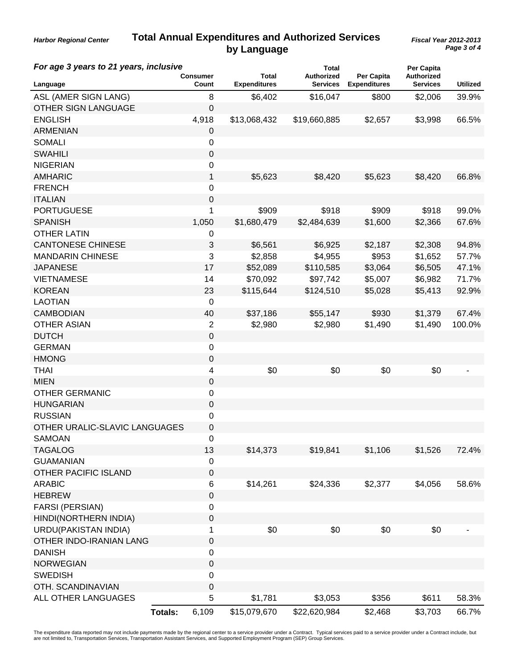*Harbor Regional Center*

| For age 3 years to 21 years, inclusive |                 |                  | <b>Total</b>                 |                                      | Per Capita                        |                                      |                 |
|----------------------------------------|-----------------|------------------|------------------------------|--------------------------------------|-----------------------------------|--------------------------------------|-----------------|
| Language                               | <b>Consumer</b> | Count            | Total<br><b>Expenditures</b> | <b>Authorized</b><br><b>Services</b> | Per Capita<br><b>Expenditures</b> | <b>Authorized</b><br><b>Services</b> | <b>Utilized</b> |
| ASL (AMER SIGN LANG)                   |                 | 8                | \$6,402                      | \$16,047                             | \$800                             | \$2,006                              | 39.9%           |
| <b>OTHER SIGN LANGUAGE</b>             |                 | $\mathbf 0$      |                              |                                      |                                   |                                      |                 |
| <b>ENGLISH</b>                         |                 | 4,918            | \$13,068,432                 | \$19,660,885                         | \$2,657                           | \$3,998                              | 66.5%           |
| <b>ARMENIAN</b>                        |                 | $\pmb{0}$        |                              |                                      |                                   |                                      |                 |
| <b>SOMALI</b>                          |                 | 0                |                              |                                      |                                   |                                      |                 |
| <b>SWAHILI</b>                         |                 | $\boldsymbol{0}$ |                              |                                      |                                   |                                      |                 |
| <b>NIGERIAN</b>                        |                 | 0                |                              |                                      |                                   |                                      |                 |
| <b>AMHARIC</b>                         |                 | 1                | \$5,623                      | \$8,420                              | \$5,623                           | \$8,420                              | 66.8%           |
| <b>FRENCH</b>                          |                 | 0                |                              |                                      |                                   |                                      |                 |
| <b>ITALIAN</b>                         |                 | $\mathbf 0$      |                              |                                      |                                   |                                      |                 |
| <b>PORTUGUESE</b>                      |                 | 1                | \$909                        | \$918                                | \$909                             | \$918                                | 99.0%           |
| <b>SPANISH</b>                         |                 | 1,050            | \$1,680,479                  | \$2,484,639                          | \$1,600                           | \$2,366                              | 67.6%           |
| <b>OTHER LATIN</b>                     |                 | 0                |                              |                                      |                                   |                                      |                 |
| <b>CANTONESE CHINESE</b>               |                 | 3                | \$6,561                      | \$6,925                              | \$2,187                           | \$2,308                              | 94.8%           |
| <b>MANDARIN CHINESE</b>                |                 | 3                | \$2,858                      | \$4,955                              | \$953                             | \$1,652                              | 57.7%           |
| <b>JAPANESE</b>                        |                 | 17               | \$52,089                     | \$110,585                            | \$3,064                           | \$6,505                              | 47.1%           |
| <b>VIETNAMESE</b>                      |                 | 14               | \$70,092                     | \$97,742                             | \$5,007                           | \$6,982                              | 71.7%           |
| <b>KOREAN</b>                          |                 | 23               | \$115,644                    | \$124,510                            | \$5,028                           | \$5,413                              | 92.9%           |
| <b>LAOTIAN</b>                         |                 | 0                |                              |                                      |                                   |                                      |                 |
| <b>CAMBODIAN</b>                       |                 | 40               | \$37,186                     | \$55,147                             | \$930                             | \$1,379                              | 67.4%           |
| <b>OTHER ASIAN</b>                     |                 | $\overline{2}$   | \$2,980                      | \$2,980                              | \$1,490                           | \$1,490                              | 100.0%          |
| <b>DUTCH</b>                           |                 | $\mathbf 0$      |                              |                                      |                                   |                                      |                 |
| <b>GERMAN</b>                          |                 | 0                |                              |                                      |                                   |                                      |                 |
| <b>HMONG</b>                           |                 | $\pmb{0}$        |                              |                                      |                                   |                                      |                 |
| <b>THAI</b>                            |                 | 4                | \$0                          | \$0                                  | \$0                               | \$0                                  |                 |
| <b>MIEN</b>                            |                 | 0                |                              |                                      |                                   |                                      |                 |
| <b>OTHER GERMANIC</b>                  |                 | 0                |                              |                                      |                                   |                                      |                 |
| <b>HUNGARIAN</b>                       |                 | 0                |                              |                                      |                                   |                                      |                 |
| <b>RUSSIAN</b>                         |                 | 0                |                              |                                      |                                   |                                      |                 |
| OTHER URALIC-SLAVIC LANGUAGES          |                 | $\boldsymbol{0}$ |                              |                                      |                                   |                                      |                 |
| SAMOAN                                 |                 | 0                |                              |                                      |                                   |                                      |                 |
| <b>TAGALOG</b>                         |                 | 13               | \$14,373                     | \$19,841                             | \$1,106                           | \$1,526                              | 72.4%           |
| <b>GUAMANIAN</b>                       |                 | 0                |                              |                                      |                                   |                                      |                 |
| <b>OTHER PACIFIC ISLAND</b>            |                 | 0                |                              |                                      |                                   |                                      |                 |
| <b>ARABIC</b>                          |                 | 6                | \$14,261                     | \$24,336                             | \$2,377                           | \$4,056                              | 58.6%           |
| <b>HEBREW</b>                          |                 | 0                |                              |                                      |                                   |                                      |                 |
| <b>FARSI (PERSIAN)</b>                 |                 | 0                |                              |                                      |                                   |                                      |                 |
| HINDI(NORTHERN INDIA)                  |                 | 0                |                              |                                      |                                   |                                      |                 |
| <b>URDU(PAKISTAN INDIA)</b>            |                 | 1                | \$0                          | \$0                                  | \$0                               | \$0                                  |                 |
| OTHER INDO-IRANIAN LANG                |                 | 0                |                              |                                      |                                   |                                      |                 |
| <b>DANISH</b>                          |                 | 0                |                              |                                      |                                   |                                      |                 |
| <b>NORWEGIAN</b>                       |                 | $\boldsymbol{0}$ |                              |                                      |                                   |                                      |                 |
| <b>SWEDISH</b>                         |                 | 0                |                              |                                      |                                   |                                      |                 |
| OTH. SCANDINAVIAN                      |                 | $\pmb{0}$        |                              |                                      |                                   |                                      |                 |
| ALL OTHER LANGUAGES                    |                 | 5                | \$1,781                      | \$3,053                              | \$356                             | \$611                                | 58.3%           |
|                                        | <b>Totals:</b>  | 6,109            | \$15,079,670                 | \$22,620,984                         | \$2,468                           | \$3,703                              | 66.7%           |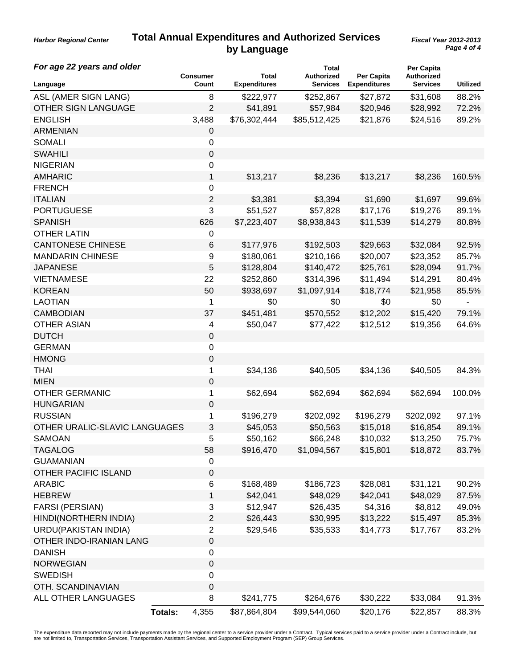*Harbor Regional Center*

| For age 22 years and older    | <b>Consumer</b>         | Total               | <b>Total</b><br><b>Authorized</b> | Per Capita          | Per Capita<br>Authorized |                 |
|-------------------------------|-------------------------|---------------------|-----------------------------------|---------------------|--------------------------|-----------------|
| Language                      | Count                   | <b>Expenditures</b> | <b>Services</b>                   | <b>Expenditures</b> | <b>Services</b>          | <b>Utilized</b> |
| ASL (AMER SIGN LANG)          | 8                       | \$222,977           | \$252,867                         | \$27,872            | \$31,608                 | 88.2%           |
| <b>OTHER SIGN LANGUAGE</b>    | $\overline{2}$          | \$41,891            | \$57,984                          | \$20,946            | \$28,992                 | 72.2%           |
| <b>ENGLISH</b>                | 3,488                   | \$76,302,444        | \$85,512,425                      | \$21,876            | \$24,516                 | 89.2%           |
| <b>ARMENIAN</b>               | 0                       |                     |                                   |                     |                          |                 |
| <b>SOMALI</b>                 | 0                       |                     |                                   |                     |                          |                 |
| <b>SWAHILI</b>                | $\mathbf 0$             |                     |                                   |                     |                          |                 |
| <b>NIGERIAN</b>               | 0                       |                     |                                   |                     |                          |                 |
| <b>AMHARIC</b>                | 1                       | \$13,217            | \$8,236                           | \$13,217            | \$8,236                  | 160.5%          |
| <b>FRENCH</b>                 | 0                       |                     |                                   |                     |                          |                 |
| <b>ITALIAN</b>                | $\overline{c}$          | \$3,381             | \$3,394                           | \$1,690             | \$1,697                  | 99.6%           |
| <b>PORTUGUESE</b>             | 3                       | \$51,527            | \$57,828                          | \$17,176            | \$19,276                 | 89.1%           |
| <b>SPANISH</b>                | 626                     | \$7,223,407         | \$8,938,843                       | \$11,539            | \$14,279                 | 80.8%           |
| <b>OTHER LATIN</b>            | 0                       |                     |                                   |                     |                          |                 |
| <b>CANTONESE CHINESE</b>      | 6                       | \$177,976           | \$192,503                         | \$29,663            | \$32,084                 | 92.5%           |
| <b>MANDARIN CHINESE</b>       | 9                       | \$180,061           | \$210,166                         | \$20,007            | \$23,352                 | 85.7%           |
| <b>JAPANESE</b>               | 5                       | \$128,804           | \$140,472                         | \$25,761            | \$28,094                 | 91.7%           |
| <b>VIETNAMESE</b>             | 22                      | \$252,860           | \$314,396                         | \$11,494            | \$14,291                 | 80.4%           |
| <b>KOREAN</b>                 | 50                      | \$938,697           | \$1,097,914                       | \$18,774            | \$21,958                 | 85.5%           |
| <b>LAOTIAN</b>                | 1                       | \$0                 | \$0                               | \$0                 | \$0                      |                 |
| <b>CAMBODIAN</b>              | 37                      | \$451,481           | \$570,552                         | \$12,202            | \$15,420                 | 79.1%           |
| <b>OTHER ASIAN</b>            | 4                       | \$50,047            | \$77,422                          | \$12,512            | \$19,356                 | 64.6%           |
| <b>DUTCH</b>                  | 0                       |                     |                                   |                     |                          |                 |
| <b>GERMAN</b>                 | 0                       |                     |                                   |                     |                          |                 |
| <b>HMONG</b>                  | 0                       |                     |                                   |                     |                          |                 |
| <b>THAI</b>                   | 1                       | \$34,136            | \$40,505                          | \$34,136            | \$40,505                 | 84.3%           |
| <b>MIEN</b>                   | 0                       |                     |                                   |                     |                          |                 |
| <b>OTHER GERMANIC</b>         | 1                       | \$62,694            | \$62,694                          | \$62,694            | \$62,694                 | 100.0%          |
| <b>HUNGARIAN</b>              | 0                       |                     |                                   |                     |                          |                 |
| <b>RUSSIAN</b>                | 1                       | \$196,279           | \$202,092                         | \$196,279           | \$202,092                | 97.1%           |
| OTHER URALIC-SLAVIC LANGUAGES | 3                       | \$45,053            | \$50,563                          | \$15,018            | \$16,854                 | 89.1%           |
| <b>SAMOAN</b>                 | 5                       | \$50,162            | \$66,248                          | \$10,032            | \$13,250                 | 75.7%           |
| <b>TAGALOG</b>                | 58                      | \$916,470           | \$1,094,567                       | \$15,801            | \$18,872                 | 83.7%           |
| <b>GUAMANIAN</b>              | 0                       |                     |                                   |                     |                          |                 |
| <b>OTHER PACIFIC ISLAND</b>   | $\boldsymbol{0}$        |                     |                                   |                     |                          |                 |
| <b>ARABIC</b>                 | 6                       | \$168,489           | \$186,723                         | \$28,081            | \$31,121                 | 90.2%           |
| <b>HEBREW</b>                 | 1                       | \$42,041            | \$48,029                          | \$42,041            | \$48,029                 | 87.5%           |
| FARSI (PERSIAN)               | 3                       | \$12,947            | \$26,435                          | \$4,316             | \$8,812                  | 49.0%           |
| HINDI(NORTHERN INDIA)         | $\mathbf{2}$            | \$26,443            | \$30,995                          | \$13,222            | \$15,497                 | 85.3%           |
| <b>URDU(PAKISTAN INDIA)</b>   | $\overline{2}$          | \$29,546            | \$35,533                          | \$14,773            | \$17,767                 | 83.2%           |
| OTHER INDO-IRANIAN LANG       | 0                       |                     |                                   |                     |                          |                 |
| <b>DANISH</b>                 | 0                       |                     |                                   |                     |                          |                 |
| <b>NORWEGIAN</b>              | $\mathbf 0$             |                     |                                   |                     |                          |                 |
| <b>SWEDISH</b>                | $\boldsymbol{0}$        |                     |                                   |                     |                          |                 |
| OTH. SCANDINAVIAN             | 0                       |                     |                                   |                     |                          |                 |
| ALL OTHER LANGUAGES           | 8                       | \$241,775           | \$264,676                         | \$30,222            | \$33,084                 | 91.3%           |
|                               | <b>Totals:</b><br>4,355 | \$87,864,804        | \$99,544,060                      | \$20,176            | \$22,857                 | 88.3%           |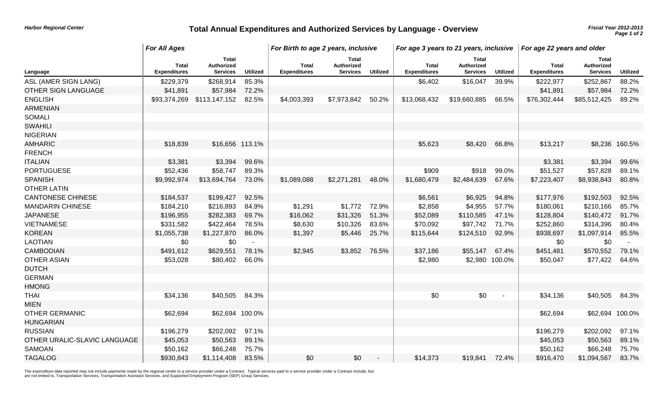# *Harbor Regional Center* **Total Annual Expenditures and Authorized Services by Language - Overview** *Page 1 of 2 Page 1 of 2 Page 1 of 2*

|                              | <b>For All Ages</b>                 |                                                      |                 | For Birth to age 2 years, inclusive |                                        |                 | For age 3 years to 21 years, inclusive |                                               |                 | For age 22 years and older   |                                               |                 |
|------------------------------|-------------------------------------|------------------------------------------------------|-----------------|-------------------------------------|----------------------------------------|-----------------|----------------------------------------|-----------------------------------------------|-----------------|------------------------------|-----------------------------------------------|-----------------|
| Language                     | <b>Total</b><br><b>Expenditures</b> | <b>Total</b><br><b>Authorized</b><br><b>Services</b> | <b>Utilized</b> | Total<br><b>Expenditures</b>        | Total<br>Authorized<br><b>Services</b> | <b>Utilized</b> | <b>Total</b><br><b>Expenditures</b>    | <b>Total</b><br>Authorized<br><b>Services</b> | <b>Utilized</b> | Total<br><b>Expenditures</b> | <b>Total</b><br>Authorized<br><b>Services</b> | <b>Utilized</b> |
| ASL (AMER SIGN LANG)         | \$229,379                           | \$268,914                                            | 85.3%           |                                     |                                        |                 | \$6,402                                | \$16,047                                      | 39.9%           | \$222,977                    | \$252,867                                     | 88.2%           |
| OTHER SIGN LANGUAGE          | \$41,891                            | \$57,984                                             | 72.2%           |                                     |                                        |                 |                                        |                                               |                 | \$41,891                     | \$57,984                                      | 72.2%           |
| <b>ENGLISH</b>               | \$93,374,269                        | \$113,147,152                                        | 82.5%           | \$4,003,393                         | \$7,973,842                            | 50.2%           | \$13,068,432                           | \$19,660,885                                  | 66.5%           | \$76,302,444                 | \$85,512,425                                  | 89.2%           |
| <b>ARMENIAN</b>              |                                     |                                                      |                 |                                     |                                        |                 |                                        |                                               |                 |                              |                                               |                 |
| <b>SOMALI</b>                |                                     |                                                      |                 |                                     |                                        |                 |                                        |                                               |                 |                              |                                               |                 |
| <b>SWAHILI</b>               |                                     |                                                      |                 |                                     |                                        |                 |                                        |                                               |                 |                              |                                               |                 |
| <b>NIGERIAN</b>              |                                     |                                                      |                 |                                     |                                        |                 |                                        |                                               |                 |                              |                                               |                 |
| <b>AMHARIC</b>               | \$18,839                            | \$16,656 113.1%                                      |                 |                                     |                                        |                 | \$5,623                                | \$8,420                                       | 66.8%           | \$13,217                     |                                               | \$8,236 160.5%  |
| <b>FRENCH</b>                |                                     |                                                      |                 |                                     |                                        |                 |                                        |                                               |                 |                              |                                               |                 |
| <b>ITALIAN</b>               | \$3,381                             | \$3,394                                              | 99.6%           |                                     |                                        |                 |                                        |                                               |                 | \$3,381                      | \$3,394                                       | 99.6%           |
| <b>PORTUGUESE</b>            | \$52,436                            | \$58,747                                             | 89.3%           |                                     |                                        |                 | \$909                                  | \$918                                         | 99.0%           | \$51,527                     | \$57,828                                      | 89.1%           |
| <b>SPANISH</b>               | \$9,992,974                         | \$13,694,764                                         | 73.0%           | \$1,089,088                         | \$2,271,281                            | 48.0%           | \$1,680,479                            | \$2,484,639                                   | 67.6%           | \$7,223,407                  | \$8,938,843                                   | 80.8%           |
| <b>OTHER LATIN</b>           |                                     |                                                      |                 |                                     |                                        |                 |                                        |                                               |                 |                              |                                               |                 |
| <b>CANTONESE CHINESE</b>     | \$184,537                           | \$199,427                                            | 92.5%           |                                     |                                        |                 | \$6,561                                | \$6,925                                       | 94.8%           | \$177,976                    | \$192,503                                     | 92.5%           |
| <b>MANDARIN CHINESE</b>      | \$184,210                           | \$216,893                                            | 84.9%           | \$1,291                             | \$1,772                                | 72.9%           | \$2,858                                | \$4,955                                       | 57.7%           | \$180,061                    | \$210,166                                     | 85.7%           |
| <b>JAPANESE</b>              | \$196,955                           | \$282,383                                            | 69.7%           | \$16,062                            | \$31,326                               | 51.3%           | \$52,089                               | \$110,585                                     | 47.1%           | \$128,804                    | \$140,472                                     | 91.7%           |
| <b>VIETNAMESE</b>            | \$331,582                           | \$422,464                                            | 78.5%           | \$8,630                             | \$10,326                               | 83.6%           | \$70,092                               | \$97,742                                      | 71.7%           | \$252,860                    | \$314,396                                     | 80.4%           |
| <b>KOREAN</b>                | \$1,055,738                         | \$1,227,870                                          | 86.0%           | \$1,397                             | \$5,446                                | 25.7%           | \$115,644                              | \$124,510                                     | 92.9%           | \$938,697                    | \$1,097,914                                   | 85.5%           |
| <b>LAOTIAN</b>               | \$0                                 | \$0                                                  |                 |                                     |                                        |                 |                                        |                                               |                 | \$0                          | \$0                                           |                 |
| <b>CAMBODIAN</b>             | \$491,612                           | \$629,551                                            | 78.1%           | \$2,945                             | \$3,852                                | 76.5%           | \$37,186                               | \$55,147                                      | 67.4%           | \$451,481                    | \$570,552                                     | 79.1%           |
| <b>OTHER ASIAN</b>           | \$53,028                            | \$80,402                                             | 66.0%           |                                     |                                        |                 | \$2,980                                |                                               | \$2,980 100.0%  | \$50,047                     | \$77,422                                      | 64.6%           |
| <b>DUTCH</b>                 |                                     |                                                      |                 |                                     |                                        |                 |                                        |                                               |                 |                              |                                               |                 |
| <b>GERMAN</b>                |                                     |                                                      |                 |                                     |                                        |                 |                                        |                                               |                 |                              |                                               |                 |
| <b>HMONG</b>                 |                                     |                                                      |                 |                                     |                                        |                 |                                        |                                               |                 |                              |                                               |                 |
| <b>THAI</b>                  | \$34,136                            | \$40,505 84.3%                                       |                 |                                     |                                        |                 | \$0                                    | \$0                                           |                 | \$34,136                     | \$40,505                                      | 84.3%           |
| <b>MIEN</b>                  |                                     |                                                      |                 |                                     |                                        |                 |                                        |                                               |                 |                              |                                               |                 |
| <b>OTHER GERMANIC</b>        | \$62,694                            | \$62,694 100.0%                                      |                 |                                     |                                        |                 |                                        |                                               |                 | \$62,694                     | \$62,694 100.0%                               |                 |
| <b>HUNGARIAN</b>             |                                     |                                                      |                 |                                     |                                        |                 |                                        |                                               |                 |                              |                                               |                 |
| <b>RUSSIAN</b>               | \$196,279                           | \$202,092                                            | 97.1%           |                                     |                                        |                 |                                        |                                               |                 | \$196,279                    | \$202,092                                     | 97.1%           |
| OTHER URALIC-SLAVIC LANGUAGE | \$45,053                            | \$50,563                                             | 89.1%           |                                     |                                        |                 |                                        |                                               |                 | \$45,053                     | \$50,563                                      | 89.1%           |
| <b>SAMOAN</b>                | \$50,162                            | \$66,248                                             | 75.7%           |                                     |                                        |                 |                                        |                                               |                 | \$50,162                     | \$66,248                                      | 75.7%           |
| <b>TAGALOG</b>               | \$930,843                           | \$1,114,408                                          | 83.5%           | \$0                                 | \$0                                    |                 | \$14,373                               | \$19,841                                      | 72.4%           | \$916,470                    | \$1,094,567                                   | 83.7%           |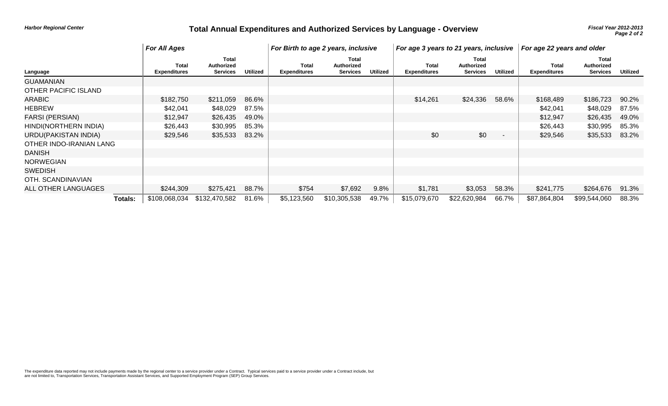# *Harbor Regional Center* **Total Annual Expenditures and Authorized Services by Language - Overview** *Page 2012-2013*

|                         |         | <b>For All Ages</b>                 |                                               |                 | For Birth to age 2 years, inclusive |                                               |                 | For age 3 years to 21 years, inclusive |                                        |                 | For age 22 years and older   |                                               |          |
|-------------------------|---------|-------------------------------------|-----------------------------------------------|-----------------|-------------------------------------|-----------------------------------------------|-----------------|----------------------------------------|----------------------------------------|-----------------|------------------------------|-----------------------------------------------|----------|
| Language                |         | <b>Total</b><br><b>Expenditures</b> | Total<br><b>Authorized</b><br><b>Services</b> | <b>Utilized</b> | Total<br><b>Expenditures</b>        | <b>Total</b><br>Authorized<br><b>Services</b> | <b>Utilized</b> | Total<br><b>Expenditures</b>           | Total<br><b>Authorized</b><br>Services | <b>Utilized</b> | Total<br><b>Expenditures</b> | <b>Total</b><br>Authorized<br><b>Services</b> | Utilized |
| <b>GUAMANIAN</b>        |         |                                     |                                               |                 |                                     |                                               |                 |                                        |                                        |                 |                              |                                               |          |
| OTHER PACIFIC ISLAND    |         |                                     |                                               |                 |                                     |                                               |                 |                                        |                                        |                 |                              |                                               |          |
| <b>ARABIC</b>           |         | \$182,750                           | \$211,059                                     | 86.6%           |                                     |                                               |                 | \$14,261                               | \$24,336                               | 58.6%           | \$168,489                    | \$186,723                                     | 90.2%    |
| <b>HEBREW</b>           |         | \$42,041                            | \$48,029                                      | 87.5%           |                                     |                                               |                 |                                        |                                        |                 | \$42,041                     | \$48,029                                      | 87.5%    |
| <b>FARSI (PERSIAN)</b>  |         | \$12,947                            | \$26,435                                      | 49.0%           |                                     |                                               |                 |                                        |                                        |                 | \$12,947                     | \$26,435                                      | 49.0%    |
| HINDI(NORTHERN INDIA)   |         | \$26,443                            | \$30,995                                      | 85.3%           |                                     |                                               |                 |                                        |                                        |                 | \$26,443                     | \$30,995                                      | 85.3%    |
| URDU(PAKISTAN INDIA)    |         | \$29,546                            | \$35,533                                      | 83.2%           |                                     |                                               |                 | \$0                                    | \$0                                    |                 | \$29,546                     | \$35,533                                      | 83.2%    |
| OTHER INDO-IRANIAN LANG |         |                                     |                                               |                 |                                     |                                               |                 |                                        |                                        |                 |                              |                                               |          |
| <b>DANISH</b>           |         |                                     |                                               |                 |                                     |                                               |                 |                                        |                                        |                 |                              |                                               |          |
| <b>NORWEGIAN</b>        |         |                                     |                                               |                 |                                     |                                               |                 |                                        |                                        |                 |                              |                                               |          |
| <b>SWEDISH</b>          |         |                                     |                                               |                 |                                     |                                               |                 |                                        |                                        |                 |                              |                                               |          |
| OTH. SCANDINAVIAN       |         |                                     |                                               |                 |                                     |                                               |                 |                                        |                                        |                 |                              |                                               |          |
| ALL OTHER LANGUAGES     |         | \$244,309                           | \$275,421                                     | 88.7%           | \$754                               | \$7,692                                       | 9.8%            | \$1,781                                | \$3,053                                | 58.3%           | \$241,775                    | \$264,676                                     | 91.3%    |
|                         | Totals: | \$108,068,034                       | \$132,470,582                                 | 81.6%           | \$5,123,560                         | \$10,305,538                                  | 49.7%           | \$15,079,670                           | \$22,620,984                           | 66.7%           | \$87,864,804                 | \$99,544,060                                  | 88.3%    |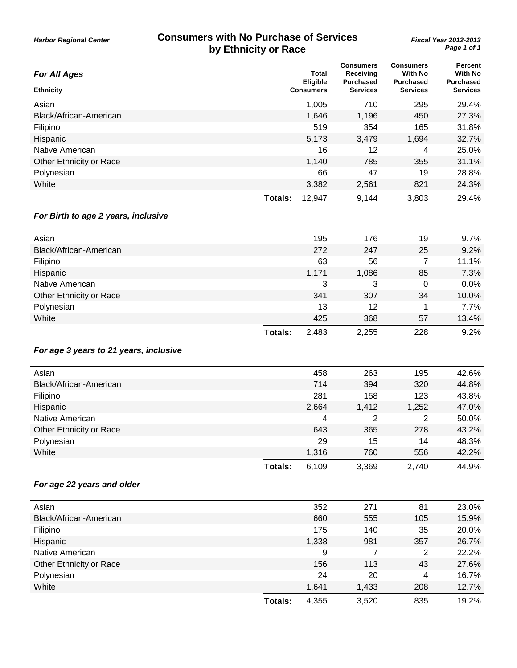#### **Consumers with No Purchase of Services by Ethnicity or Race**

| <b>For All Ages</b>     |         | Total<br><b>Eligible</b> | <b>Consumers</b><br>Receiving<br><b>Purchased</b> | <b>Consumers</b><br><b>With No</b><br><b>Purchased</b> | Percent<br><b>With No</b><br><b>Purchased</b> |
|-------------------------|---------|--------------------------|---------------------------------------------------|--------------------------------------------------------|-----------------------------------------------|
| <b>Ethnicity</b>        |         | <b>Consumers</b>         | <b>Services</b>                                   | <b>Services</b>                                        | <b>Services</b>                               |
| Asian                   |         | 1,005                    | 710                                               | 295                                                    | 29.4%                                         |
| Black/African-American  |         | 1,646                    | 1,196                                             | 450                                                    | 27.3%                                         |
| Filipino                |         | 519                      | 354                                               | 165                                                    | 31.8%                                         |
| Hispanic                |         | 5,173                    | 3,479                                             | 1,694                                                  | 32.7%                                         |
| Native American         |         | 16                       | 12                                                | 4                                                      | 25.0%                                         |
| Other Ethnicity or Race |         | 1,140                    | 785                                               | 355                                                    | 31.1%                                         |
| Polynesian              |         | 66                       | 47                                                | 19                                                     | 28.8%                                         |
| White                   |         | 3,382                    | 2,561                                             | 821                                                    | 24.3%                                         |
|                         | Totals: | 12,947                   | 9,144                                             | 3,803                                                  | 29.4%                                         |

#### *For Birth to age 2 years, inclusive*

| Asian                   |                | 195   | 176   | 19  | 9.7%  |
|-------------------------|----------------|-------|-------|-----|-------|
| Black/African-American  |                | 272   | 247   | 25  | 9.2%  |
| Filipino                |                | 63    | 56    |     | 11.1% |
| Hispanic                |                | 1,171 | 1,086 | 85  | 7.3%  |
| Native American         |                | 3     | 3     | 0   | 0.0%  |
| Other Ethnicity or Race |                | 341   | 307   | 34  | 10.0% |
| Polynesian              |                | 13    | 12    |     | 7.7%  |
| White                   |                | 425   | 368   | 57  | 13.4% |
|                         | <b>Totals:</b> | 2,483 | 2,255 | 228 | 9.2%  |

#### *For age 3 years to 21 years, inclusive*

| Asian                   |         | 458   | 263   | 195   | 42.6% |
|-------------------------|---------|-------|-------|-------|-------|
| Black/African-American  |         | 714   | 394   | 320   | 44.8% |
| Filipino                |         | 281   | 158   | 123   | 43.8% |
| Hispanic                |         | 2,664 | 1,412 | 1,252 | 47.0% |
| Native American         |         | 4     | 2     | 2     | 50.0% |
| Other Ethnicity or Race |         | 643   | 365   | 278   | 43.2% |
| Polynesian              |         | 29    | 15    | 14    | 48.3% |
| White                   |         | 1.316 | 760   | 556   | 42.2% |
|                         | Totals: | 6,109 | 3,369 | 2,740 | 44.9% |

#### *For age 22 years and older*

|         | 352   | 271   | 81  | 23.0% |
|---------|-------|-------|-----|-------|
|         | 660   | 555   | 105 | 15.9% |
|         | 175   | 140   | 35  | 20.0% |
|         | 1,338 | 981   | 357 | 26.7% |
|         | 9     |       | 2   | 22.2% |
|         | 156   | 113   | 43  | 27.6% |
|         | 24    | 20    | 4   | 16.7% |
|         | 1,641 | 1,433 | 208 | 12.7% |
| Totals: | 4,355 | 3,520 | 835 | 19.2% |
|         |       |       |     |       |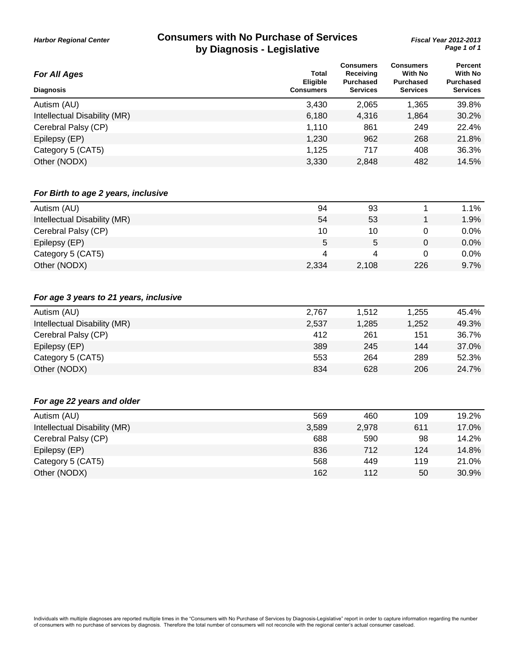#### **Consumers with No Purchase of Services by Diagnosis - Legislative**

*Page 1 of 1 Fiscal Year 2012-2013*

| na mudinosis - ⊏edisianae               |                                              |                                                                      |                                                                    |                                                                  |
|-----------------------------------------|----------------------------------------------|----------------------------------------------------------------------|--------------------------------------------------------------------|------------------------------------------------------------------|
| <b>For All Ages</b><br><b>Diagnosis</b> | <b>Total</b><br>Eligible<br><b>Consumers</b> | <b>Consumers</b><br>Receiving<br><b>Purchased</b><br><b>Services</b> | <b>Consumers</b><br>With No<br><b>Purchased</b><br><b>Services</b> | Percent<br><b>With No</b><br><b>Purchased</b><br><b>Services</b> |
| Autism (AU)                             | 3,430                                        | 2,065                                                                | 1,365                                                              | 39.8%                                                            |
| Intellectual Disability (MR)            | 6,180                                        | 4,316                                                                | 1,864                                                              | 30.2%                                                            |
| Cerebral Palsy (CP)                     | 1,110                                        | 861                                                                  | 249                                                                | 22.4%                                                            |
| Epilepsy (EP)                           | 1,230                                        | 962                                                                  | 268                                                                | 21.8%                                                            |
| Category 5 (CAT5)                       | 1,125                                        | 717                                                                  | 408                                                                | 36.3%                                                            |
| Other (NODX)                            | 3,330                                        | 2,848                                                                | 482                                                                | 14.5%                                                            |
| For Birth to age 2 years, inclusive     |                                              |                                                                      |                                                                    |                                                                  |
| Autism (AU)                             | 94                                           | 93                                                                   | 1                                                                  | 1.1%                                                             |
| Intellectual Disability (MR)            | 54                                           | 53                                                                   | 1                                                                  | 1.9%                                                             |
| Cerebral Palsy (CP)                     | 10                                           | 10                                                                   | 0                                                                  | 0.0%                                                             |
| Epilepsy (EP)                           | 5                                            | 5                                                                    | $\mathbf 0$                                                        | 0.0%                                                             |
| Category 5 (CAT5)                       | 4                                            | 4                                                                    | 0                                                                  | 0.0%                                                             |
| Other (NODX)                            | 2,334                                        | 2,108                                                                | 226                                                                | 9.7%                                                             |
| For age 3 years to 21 years, inclusive  |                                              |                                                                      |                                                                    |                                                                  |
| Autism (AU)                             | 2,767                                        | 1,512                                                                | 1,255                                                              | 45.4%                                                            |
| Intellectual Disability (MR)            | 2,537                                        | 1,285                                                                | 1,252                                                              | 49.3%                                                            |
| Cerebral Palsy (CP)                     | 412                                          | 261                                                                  | 151                                                                | 36.7%                                                            |
| Epilepsy (EP)                           | 389                                          | 245                                                                  | 144                                                                | 37.0%                                                            |
| Category 5 (CAT5)                       | 553                                          | 264                                                                  | 289                                                                | 52.3%                                                            |
| Other (NODX)                            | 834                                          | 628                                                                  | 206                                                                | 24.7%                                                            |
| For age 22 years and older              |                                              |                                                                      |                                                                    |                                                                  |
| Autism (AU)                             | 569                                          | 460                                                                  | 109                                                                | 19.2%                                                            |
| Intellectual Disability (MR)            | 3,589                                        | 2,978                                                                | 611                                                                | 17.0%                                                            |
| Cerebral Palsy (CP)                     | 688                                          | 590                                                                  | 98                                                                 | 14.2%                                                            |
| Epilepsy (EP)                           | 836                                          | 712                                                                  | 124                                                                | 14.8%                                                            |
| Category 5 (CAT5)                       | 568                                          | 449                                                                  | 119                                                                | 21.0%                                                            |
| Other (NODX)                            | 162                                          | 112                                                                  | 50                                                                 | 30.9%                                                            |
|                                         |                                              |                                                                      |                                                                    |                                                                  |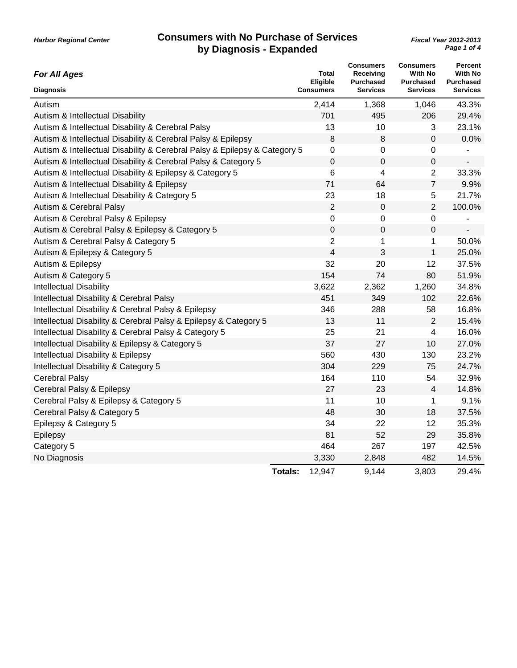| <b>For All Ages</b>                                                       | <b>Total</b><br>Eligible | <b>Consumers</b><br>Receiving<br><b>Purchased</b> | <b>Consumers</b><br><b>With No</b><br><b>Purchased</b> | Percent<br><b>With No</b><br><b>Purchased</b> |
|---------------------------------------------------------------------------|--------------------------|---------------------------------------------------|--------------------------------------------------------|-----------------------------------------------|
| <b>Diagnosis</b>                                                          | <b>Consumers</b>         | <b>Services</b>                                   | <b>Services</b>                                        | <b>Services</b>                               |
| Autism                                                                    | 2,414                    | 1,368                                             | 1,046                                                  | 43.3%                                         |
| Autism & Intellectual Disability                                          | 701                      | 495                                               | 206                                                    | 29.4%                                         |
| Autism & Intellectual Disability & Cerebral Palsy                         | 13                       | 10                                                | 3                                                      | 23.1%                                         |
| Autism & Intellectual Disability & Cerebral Palsy & Epilepsy              | 8                        | 8                                                 | 0                                                      | 0.0%                                          |
| Autism & Intellectual Disability & Cerebral Palsy & Epilepsy & Category 5 | 0                        | 0                                                 | 0                                                      |                                               |
| Autism & Intellectual Disability & Cerebral Palsy & Category 5            | $\mathbf 0$              | $\mathbf 0$                                       | 0                                                      |                                               |
| Autism & Intellectual Disability & Epilepsy & Category 5                  | 6                        | 4                                                 | $\overline{2}$                                         | 33.3%                                         |
| Autism & Intellectual Disability & Epilepsy                               | 71                       | 64                                                | $\overline{7}$                                         | 9.9%                                          |
| Autism & Intellectual Disability & Category 5                             | 23                       | 18                                                | 5                                                      | 21.7%                                         |
| Autism & Cerebral Palsy                                                   | $\overline{2}$           | $\mathbf 0$                                       | $\overline{2}$                                         | 100.0%                                        |
| Autism & Cerebral Palsy & Epilepsy                                        | 0                        | 0                                                 | 0                                                      |                                               |
| Autism & Cerebral Palsy & Epilepsy & Category 5                           | 0                        | 0                                                 | 0                                                      |                                               |
| Autism & Cerebral Palsy & Category 5                                      | $\overline{2}$           | 1                                                 | $\mathbf 1$                                            | 50.0%                                         |
| Autism & Epilepsy & Category 5                                            | 4                        | 3                                                 | $\mathbf 1$                                            | 25.0%                                         |
| Autism & Epilepsy                                                         | 32                       | 20                                                | 12                                                     | 37.5%                                         |
| Autism & Category 5                                                       | 154                      | 74                                                | 80                                                     | 51.9%                                         |
| <b>Intellectual Disability</b>                                            | 3,622                    | 2,362                                             | 1,260                                                  | 34.8%                                         |
| Intellectual Disability & Cerebral Palsy                                  | 451                      | 349                                               | 102                                                    | 22.6%                                         |
| Intellectual Disability & Cerebral Palsy & Epilepsy                       | 346                      | 288                                               | 58                                                     | 16.8%                                         |
| Intellectual Disability & Cerebral Palsy & Epilepsy & Category 5          | 13                       | 11                                                | $\overline{2}$                                         | 15.4%                                         |
| Intellectual Disability & Cerebral Palsy & Category 5                     | 25                       | 21                                                | 4                                                      | 16.0%                                         |
| Intellectual Disability & Epilepsy & Category 5                           | 37                       | 27                                                | 10                                                     | 27.0%                                         |
| Intellectual Disability & Epilepsy                                        | 560                      | 430                                               | 130                                                    | 23.2%                                         |
| Intellectual Disability & Category 5                                      | 304                      | 229                                               | 75                                                     | 24.7%                                         |
| Cerebral Palsy                                                            | 164                      | 110                                               | 54                                                     | 32.9%                                         |
| Cerebral Palsy & Epilepsy                                                 | 27                       | 23                                                | 4                                                      | 14.8%                                         |
| Cerebral Palsy & Epilepsy & Category 5                                    | 11                       | 10                                                | 1                                                      | 9.1%                                          |
| Cerebral Palsy & Category 5                                               | 48                       | 30                                                | 18                                                     | 37.5%                                         |
| Epilepsy & Category 5                                                     | 34                       | 22                                                | 12                                                     | 35.3%                                         |
| Epilepsy                                                                  | 81                       | 52                                                | 29                                                     | 35.8%                                         |
| Category 5                                                                | 464                      | 267                                               | 197                                                    | 42.5%                                         |
| No Diagnosis                                                              | 3,330                    | 2,848                                             | 482                                                    | 14.5%                                         |
|                                                                           | <b>Totals:</b><br>12,947 | 9,144                                             | 3,803                                                  | 29.4%                                         |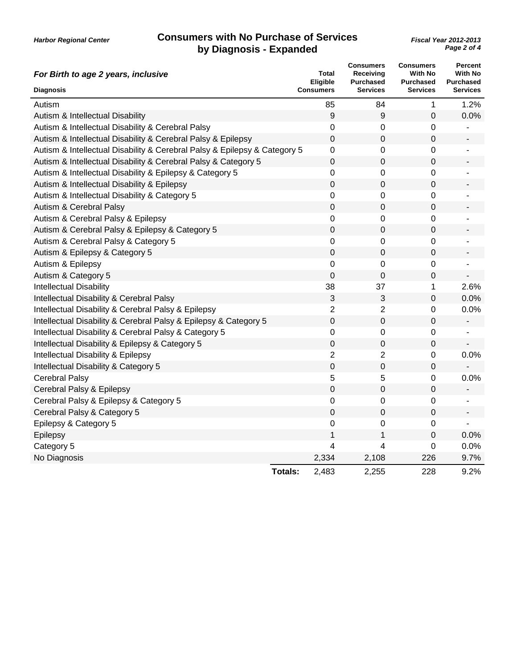| For Birth to age 2 years, inclusive                                       | <b>Total</b><br>Eligible | <b>Consumers</b><br>Receiving<br><b>Purchased</b> | <b>Consumers</b><br><b>With No</b><br><b>Purchased</b> | <b>Percent</b><br><b>With No</b><br><b>Purchased</b> |
|---------------------------------------------------------------------------|--------------------------|---------------------------------------------------|--------------------------------------------------------|------------------------------------------------------|
| <b>Diagnosis</b>                                                          | <b>Consumers</b>         | <b>Services</b>                                   | <b>Services</b>                                        | <b>Services</b>                                      |
| Autism                                                                    | 85                       | 84                                                | 1                                                      | 1.2%                                                 |
| Autism & Intellectual Disability                                          | 9                        | 9                                                 | $\mathbf 0$                                            | 0.0%                                                 |
| Autism & Intellectual Disability & Cerebral Palsy                         | 0                        | 0                                                 | 0                                                      |                                                      |
| Autism & Intellectual Disability & Cerebral Palsy & Epilepsy              | 0                        | 0                                                 | 0                                                      |                                                      |
| Autism & Intellectual Disability & Cerebral Palsy & Epilepsy & Category 5 | 0                        | 0                                                 | 0                                                      |                                                      |
| Autism & Intellectual Disability & Cerebral Palsy & Category 5            | $\pmb{0}$                | 0                                                 | 0                                                      |                                                      |
| Autism & Intellectual Disability & Epilepsy & Category 5                  | 0                        | 0                                                 | 0                                                      |                                                      |
| Autism & Intellectual Disability & Epilepsy                               | $\mathbf 0$              | 0                                                 | 0                                                      |                                                      |
| Autism & Intellectual Disability & Category 5                             | 0                        | 0                                                 | 0                                                      |                                                      |
| Autism & Cerebral Palsy                                                   | $\mathbf 0$              | 0                                                 | 0                                                      |                                                      |
| Autism & Cerebral Palsy & Epilepsy                                        | 0                        | 0                                                 | 0                                                      |                                                      |
| Autism & Cerebral Palsy & Epilepsy & Category 5                           | $\mathbf 0$              | 0                                                 | 0                                                      |                                                      |
| Autism & Cerebral Palsy & Category 5                                      | 0                        | 0                                                 | 0                                                      |                                                      |
| Autism & Epilepsy & Category 5                                            | $\mathbf 0$              | 0                                                 | 0                                                      |                                                      |
| Autism & Epilepsy                                                         | 0                        | 0                                                 | 0                                                      |                                                      |
| Autism & Category 5                                                       | $\mathbf 0$              | 0                                                 | 0                                                      |                                                      |
| <b>Intellectual Disability</b>                                            | 38                       | 37                                                | 1                                                      | 2.6%                                                 |
| Intellectual Disability & Cerebral Palsy                                  | 3                        | 3                                                 | 0                                                      | 0.0%                                                 |
| Intellectual Disability & Cerebral Palsy & Epilepsy                       | $\overline{2}$           | 2                                                 | 0                                                      | 0.0%                                                 |
| Intellectual Disability & Cerebral Palsy & Epilepsy & Category 5          | $\mathbf 0$              | 0                                                 | 0                                                      | $\overline{\phantom{a}}$                             |
| Intellectual Disability & Cerebral Palsy & Category 5                     | 0                        | 0                                                 | 0                                                      |                                                      |
| Intellectual Disability & Epilepsy & Category 5                           | $\mathbf 0$              | 0                                                 | 0                                                      |                                                      |
| Intellectual Disability & Epilepsy                                        | $\overline{2}$           | $\overline{2}$                                    | 0                                                      | 0.0%                                                 |
| Intellectual Disability & Category 5                                      | $\mathbf 0$              | 0                                                 | 0                                                      |                                                      |
| <b>Cerebral Palsy</b>                                                     | 5                        | 5                                                 | 0                                                      | 0.0%                                                 |
| Cerebral Palsy & Epilepsy                                                 | $\mathbf 0$              | 0                                                 | 0                                                      |                                                      |
| Cerebral Palsy & Epilepsy & Category 5                                    | 0                        | 0                                                 | 0                                                      | ä,                                                   |
| Cerebral Palsy & Category 5                                               | 0                        | 0                                                 | 0                                                      |                                                      |
| Epilepsy & Category 5                                                     | 0                        | 0                                                 | 0                                                      |                                                      |
| Epilepsy                                                                  | 1                        | 1                                                 | 0                                                      | 0.0%                                                 |
| Category 5                                                                | 4                        | 4                                                 | 0                                                      | 0.0%                                                 |
| No Diagnosis                                                              | 2,334                    | 2,108                                             | 226                                                    | 9.7%                                                 |
|                                                                           | <b>Totals:</b><br>2,483  | 2,255                                             | 228                                                    | 9.2%                                                 |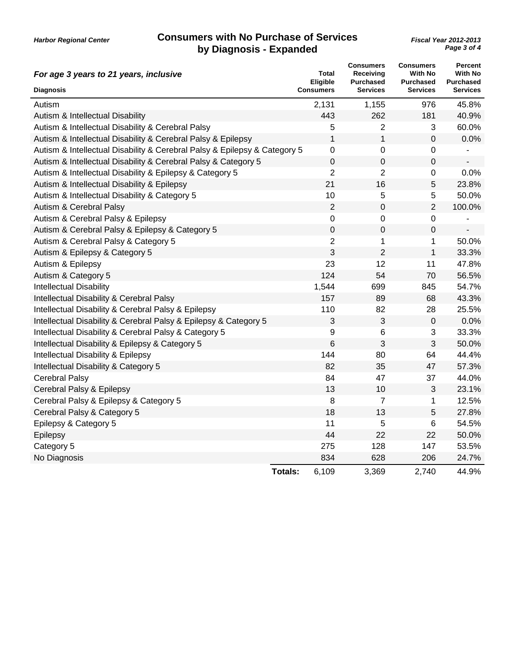| For age 3 years to 21 years, inclusive                                    | <b>Total</b><br><b>Eligible</b> | <b>Consumers</b><br>Receiving<br><b>Purchased</b> | <b>Consumers</b><br><b>With No</b><br><b>Purchased</b> | Percent<br><b>With No</b><br><b>Purchased</b> |
|---------------------------------------------------------------------------|---------------------------------|---------------------------------------------------|--------------------------------------------------------|-----------------------------------------------|
| <b>Diagnosis</b>                                                          | <b>Consumers</b>                | <b>Services</b>                                   | <b>Services</b>                                        | <b>Services</b>                               |
| Autism                                                                    | 2,131                           | 1,155                                             | 976                                                    | 45.8%                                         |
| Autism & Intellectual Disability                                          | 443                             | 262                                               | 181                                                    | 40.9%                                         |
| Autism & Intellectual Disability & Cerebral Palsy                         | 5                               | $\overline{2}$                                    | 3                                                      | 60.0%                                         |
| Autism & Intellectual Disability & Cerebral Palsy & Epilepsy              | 1                               | 1                                                 | 0                                                      | 0.0%                                          |
| Autism & Intellectual Disability & Cerebral Palsy & Epilepsy & Category 5 | 0                               | 0                                                 | 0                                                      |                                               |
| Autism & Intellectual Disability & Cerebral Palsy & Category 5            | $\mathbf 0$                     | 0                                                 | 0                                                      | $\overline{\phantom{a}}$                      |
| Autism & Intellectual Disability & Epilepsy & Category 5                  | $\overline{2}$                  | $\overline{2}$                                    | 0                                                      | 0.0%                                          |
| Autism & Intellectual Disability & Epilepsy                               | 21                              | 16                                                | 5                                                      | 23.8%                                         |
| Autism & Intellectual Disability & Category 5                             | 10                              | 5                                                 | 5                                                      | 50.0%                                         |
| Autism & Cerebral Palsy                                                   | 2                               | 0                                                 | $\overline{2}$                                         | 100.0%                                        |
| Autism & Cerebral Palsy & Epilepsy                                        | 0                               | 0                                                 | 0                                                      |                                               |
| Autism & Cerebral Palsy & Epilepsy & Category 5                           | $\pmb{0}$                       | 0                                                 | 0                                                      |                                               |
| Autism & Cerebral Palsy & Category 5                                      | $\overline{c}$                  | 1                                                 | 1                                                      | 50.0%                                         |
| Autism & Epilepsy & Category 5                                            | 3                               | $\overline{2}$                                    | $\mathbf{1}$                                           | 33.3%                                         |
| Autism & Epilepsy                                                         | 23                              | 12                                                | 11                                                     | 47.8%                                         |
| Autism & Category 5                                                       | 124                             | 54                                                | 70                                                     | 56.5%                                         |
| <b>Intellectual Disability</b>                                            | 1,544                           | 699                                               | 845                                                    | 54.7%                                         |
| Intellectual Disability & Cerebral Palsy                                  | 157                             | 89                                                | 68                                                     | 43.3%                                         |
| Intellectual Disability & Cerebral Palsy & Epilepsy                       | 110                             | 82                                                | 28                                                     | 25.5%                                         |
| Intellectual Disability & Cerebral Palsy & Epilepsy & Category 5          | 3                               | 3                                                 | $\boldsymbol{0}$                                       | 0.0%                                          |
| Intellectual Disability & Cerebral Palsy & Category 5                     | 9                               | 6                                                 | $\ensuremath{\mathsf{3}}$                              | 33.3%                                         |
| Intellectual Disability & Epilepsy & Category 5                           | 6                               | 3                                                 | $\mathfrak{B}$                                         | 50.0%                                         |
| Intellectual Disability & Epilepsy                                        | 144                             | 80                                                | 64                                                     | 44.4%                                         |
| Intellectual Disability & Category 5                                      | 82                              | 35                                                | 47                                                     | 57.3%                                         |
| <b>Cerebral Palsy</b>                                                     | 84                              | 47                                                | 37                                                     | 44.0%                                         |
| Cerebral Palsy & Epilepsy                                                 | 13                              | 10                                                | 3                                                      | 23.1%                                         |
| Cerebral Palsy & Epilepsy & Category 5                                    | 8                               | $\overline{7}$                                    | 1                                                      | 12.5%                                         |
| Cerebral Palsy & Category 5                                               | 18                              | 13                                                | 5                                                      | 27.8%                                         |
| Epilepsy & Category 5                                                     | 11                              | 5                                                 | 6                                                      | 54.5%                                         |
| Epilepsy                                                                  | 44                              | 22                                                | 22                                                     | 50.0%                                         |
| Category 5                                                                | 275                             | 128                                               | 147                                                    | 53.5%                                         |
| No Diagnosis                                                              | 834                             | 628                                               | 206                                                    | 24.7%                                         |
|                                                                           | 6,109<br><b>Totals:</b>         | 3,369                                             | 2,740                                                  | 44.9%                                         |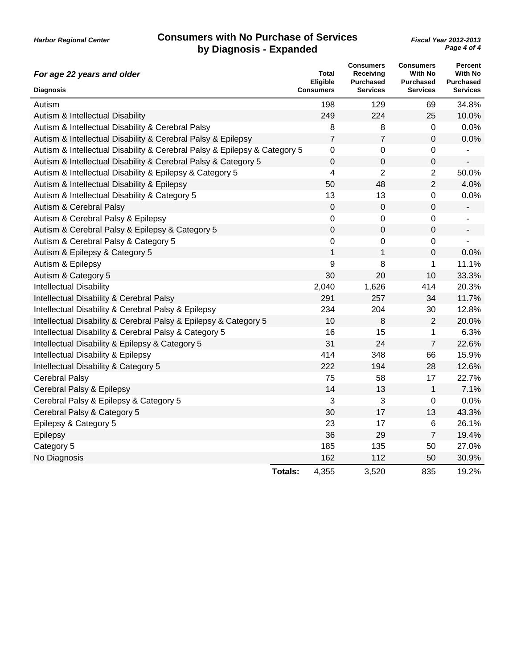| For age 22 years and older                                                | Total<br><b>Eligible</b> | <b>Consumers</b><br>Receiving<br><b>Purchased</b> | <b>Consumers</b><br><b>With No</b><br><b>Purchased</b> | <b>Percent</b><br><b>With No</b><br><b>Purchased</b> |
|---------------------------------------------------------------------------|--------------------------|---------------------------------------------------|--------------------------------------------------------|------------------------------------------------------|
| <b>Diagnosis</b>                                                          | <b>Consumers</b>         | <b>Services</b>                                   | <b>Services</b>                                        | <b>Services</b>                                      |
| Autism                                                                    | 198                      | 129                                               | 69                                                     | 34.8%                                                |
| Autism & Intellectual Disability                                          | 249                      | 224                                               | 25                                                     | 10.0%                                                |
| Autism & Intellectual Disability & Cerebral Palsy                         | 8                        | 8                                                 | 0                                                      | 0.0%                                                 |
| Autism & Intellectual Disability & Cerebral Palsy & Epilepsy              | 7                        | 7                                                 | 0                                                      | 0.0%                                                 |
| Autism & Intellectual Disability & Cerebral Palsy & Epilepsy & Category 5 | $\boldsymbol{0}$         | 0                                                 | 0                                                      |                                                      |
| Autism & Intellectual Disability & Cerebral Palsy & Category 5            | $\boldsymbol{0}$         | 0                                                 | 0                                                      | $\overline{\phantom{a}}$                             |
| Autism & Intellectual Disability & Epilepsy & Category 5                  | 4                        | $\overline{2}$                                    | $\overline{2}$                                         | 50.0%                                                |
| Autism & Intellectual Disability & Epilepsy                               | 50                       | 48                                                | $\overline{2}$                                         | 4.0%                                                 |
| Autism & Intellectual Disability & Category 5                             | 13                       | 13                                                | 0                                                      | 0.0%                                                 |
| Autism & Cerebral Palsy                                                   | 0                        | 0                                                 | 0                                                      | $\qquad \qquad \blacksquare$                         |
| Autism & Cerebral Palsy & Epilepsy                                        | 0                        | 0                                                 | 0                                                      | $\overline{\phantom{a}}$                             |
| Autism & Cerebral Palsy & Epilepsy & Category 5                           | $\mathbf 0$              | 0                                                 | 0                                                      | $\overline{\phantom{a}}$                             |
| Autism & Cerebral Palsy & Category 5                                      | $\boldsymbol{0}$         | 0                                                 | 0                                                      | ÷,                                                   |
| Autism & Epilepsy & Category 5                                            | 1                        | $\mathbf 1$                                       | 0                                                      | 0.0%                                                 |
| Autism & Epilepsy                                                         | 9                        | 8                                                 | 1                                                      | 11.1%                                                |
| Autism & Category 5                                                       | 30                       | 20                                                | 10                                                     | 33.3%                                                |
| <b>Intellectual Disability</b>                                            | 2,040                    | 1,626                                             | 414                                                    | 20.3%                                                |
| Intellectual Disability & Cerebral Palsy                                  | 291                      | 257                                               | 34                                                     | 11.7%                                                |
| Intellectual Disability & Cerebral Palsy & Epilepsy                       | 234                      | 204                                               | 30                                                     | 12.8%                                                |
| Intellectual Disability & Cerebral Palsy & Epilepsy & Category 5          | 10                       | 8                                                 | $\overline{2}$                                         | 20.0%                                                |
| Intellectual Disability & Cerebral Palsy & Category 5                     | 16                       | 15                                                | 1                                                      | 6.3%                                                 |
| Intellectual Disability & Epilepsy & Category 5                           | 31                       | 24                                                | $\overline{7}$                                         | 22.6%                                                |
| Intellectual Disability & Epilepsy                                        | 414                      | 348                                               | 66                                                     | 15.9%                                                |
| Intellectual Disability & Category 5                                      | 222                      | 194                                               | 28                                                     | 12.6%                                                |
| <b>Cerebral Palsy</b>                                                     | 75                       | 58                                                | 17                                                     | 22.7%                                                |
| Cerebral Palsy & Epilepsy                                                 | 14                       | 13                                                | 1                                                      | 7.1%                                                 |
| Cerebral Palsy & Epilepsy & Category 5                                    | 3                        | 3                                                 | 0                                                      | 0.0%                                                 |
| Cerebral Palsy & Category 5                                               | 30                       | 17                                                | 13                                                     | 43.3%                                                |
| Epilepsy & Category 5                                                     | 23                       | 17                                                | 6                                                      | 26.1%                                                |
| Epilepsy                                                                  | 36                       | 29                                                | $\overline{7}$                                         | 19.4%                                                |
| Category 5                                                                | 185                      | 135                                               | 50                                                     | 27.0%                                                |
| No Diagnosis                                                              | 162                      | 112                                               | 50                                                     | 30.9%                                                |
|                                                                           | <b>Totals:</b><br>4,355  | 3,520                                             | 835                                                    | 19.2%                                                |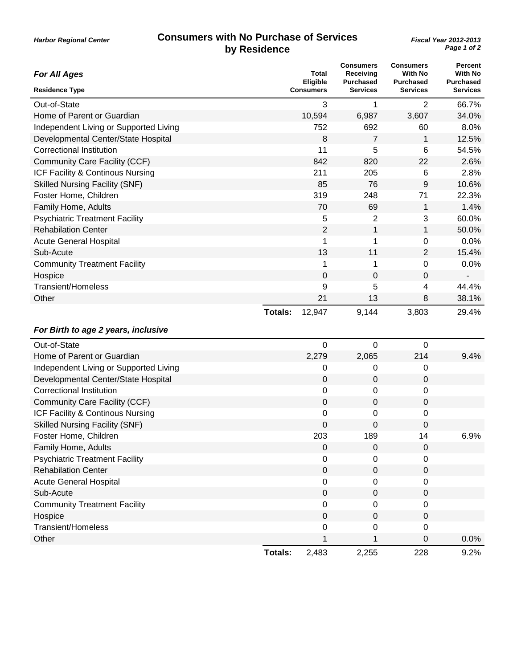| Page 1 of 2<br>by Residence                  |         |                                              |                                                               |                                                                           |                                                                  |  |
|----------------------------------------------|---------|----------------------------------------------|---------------------------------------------------------------|---------------------------------------------------------------------------|------------------------------------------------------------------|--|
| <b>For All Ages</b><br><b>Residence Type</b> |         | <b>Total</b><br><b>Eligible</b><br>Consumers | <b>Consumers</b><br>Receiving<br>Purchased<br><b>Services</b> | <b>Consumers</b><br><b>With No</b><br><b>Purchased</b><br><b>Services</b> | Percent<br><b>With No</b><br><b>Purchased</b><br><b>Services</b> |  |
| Out-of-State                                 |         | 3                                            | 1                                                             | 2                                                                         | 66.7%                                                            |  |
| Home of Parent or Guardian                   |         | 10,594                                       | 6,987                                                         | 3,607                                                                     | 34.0%                                                            |  |
| Independent Living or Supported Living       |         | 752                                          | 692                                                           | 60                                                                        | 8.0%                                                             |  |
| Developmental Center/State Hospital          |         | 8                                            | $\overline{7}$                                                | 1                                                                         | 12.5%                                                            |  |
| Correctional Institution                     |         | 11                                           | 5                                                             | 6                                                                         | 54.5%                                                            |  |
| <b>Community Care Facility (CCF)</b>         |         | 842                                          | 820                                                           | 22                                                                        | 2.6%                                                             |  |
| ICF Facility & Continous Nursing             |         | 211                                          | 205                                                           | 6                                                                         | 2.8%                                                             |  |
| <b>Skilled Nursing Facility (SNF)</b>        |         | 85                                           | 76                                                            | 9                                                                         | 10.6%                                                            |  |
| Foster Home, Children                        |         | 319                                          | 248                                                           | 71                                                                        | 22.3%                                                            |  |
| Family Home, Adults                          |         | 70                                           | 69                                                            | 1                                                                         | 1.4%                                                             |  |
| <b>Psychiatric Treatment Facility</b>        |         | 5                                            | 2                                                             | 3                                                                         | 60.0%                                                            |  |
| <b>Rehabilation Center</b>                   |         | 2                                            | 1                                                             | 1                                                                         | 50.0%                                                            |  |
| <b>Acute General Hospital</b>                |         | 1                                            | 1                                                             | $\mathbf 0$                                                               | 0.0%                                                             |  |
| Sub-Acute                                    |         | 13                                           | 11                                                            | 2                                                                         | 15.4%                                                            |  |
| <b>Community Treatment Facility</b>          |         | 1                                            | 1                                                             | $\Omega$                                                                  | 0.0%                                                             |  |
| Hospice                                      |         | 0                                            | $\mathbf 0$                                                   | $\mathbf 0$                                                               |                                                                  |  |
| <b>Transient/Homeless</b>                    |         | 9                                            | 5                                                             | 4                                                                         | 44.4%                                                            |  |
| Other                                        |         | 21                                           | 13                                                            | 8                                                                         | 38.1%                                                            |  |
|                                              | Totals: | 12,947                                       | 9,144                                                         | 3,803                                                                     | 29.4%                                                            |  |
| For Birth to age 2 years, inclusive          |         |                                              |                                                               |                                                                           |                                                                  |  |
| Out-of-State                                 |         | 0                                            | $\mathbf 0$                                                   | $\mathbf 0$                                                               |                                                                  |  |
| Home of Parent or Guardian                   |         | 2,279                                        | 2,065                                                         | 214                                                                       | 9.4%                                                             |  |
| Independent Living or Supported Living       |         | 0                                            | 0                                                             | 0                                                                         |                                                                  |  |
| Developmental Center/State Hospital          |         | 0                                            | $\mathbf 0$                                                   | $\mathbf 0$                                                               |                                                                  |  |
| <b>Correctional Institution</b>              |         | 0                                            | 0                                                             | 0                                                                         |                                                                  |  |
| Community Care Facility (CCF)                |         | $\mathbf 0$                                  | 0                                                             | $\mathbf 0$                                                               |                                                                  |  |

ICF Facility & Continous Nursing 0 0 0 Skilled Nursing Facility (SNF) 0 0 0

Family Home, Adults **Development Control** Companion Companion Companion Companion Companion Companion Companion Companion Companion Companion Companion Companion Companion Companion Companion Companion Companion Companion Psychiatric Treatment Facility 0 0 0 Rehabilation Center 0 0 0 Acute General Hospital 0 0 0 Sub-Acute 0 0 0 Community Treatment Facility 0 0 0 Hospice 0 0 0 Transient/Homeless 0 0 0

Foster Home, Children **203** 189 14 6.9%

Other 2012 1 0 0.0% (1 0.0%) 0.0% (1 0.0%) 0.0% (1 0.0%) 0.0% (1 0.0%) 0.0% (1 0.0%) 0.0% (1 0.0%) 0.0% (1 0.0

**Totals:** 2,483 2,255 228 9.2%

# **Consumers with No Purchase of Services**

*Harbor Regional Center*

*Fiscal Year 2012-2013*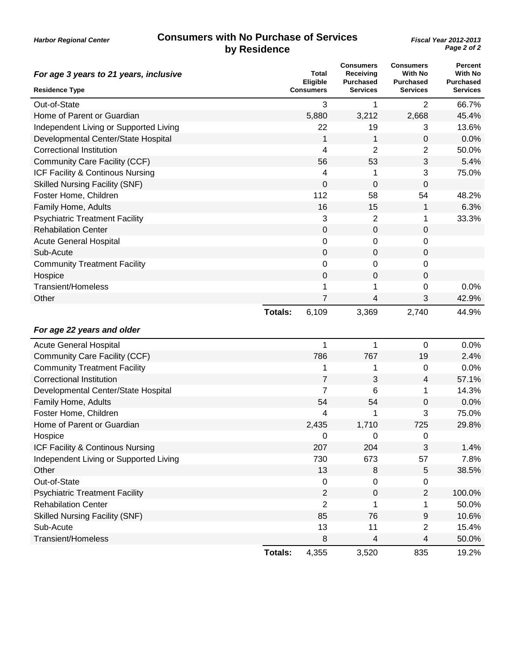#### **Consumers with No Purchase of Services by Residence**

| For age 3 years to 21 years, inclusive | <b>Total</b><br>Eligible |                  | <b>Consumers</b><br>Receiving<br><b>Purchased</b> | <b>Consumers</b><br><b>With No</b><br><b>Purchased</b> | <b>Percent</b><br><b>With No</b><br><b>Purchased</b> |
|----------------------------------------|--------------------------|------------------|---------------------------------------------------|--------------------------------------------------------|------------------------------------------------------|
| <b>Residence Type</b>                  |                          | <b>Consumers</b> | <b>Services</b>                                   | <b>Services</b>                                        | <b>Services</b>                                      |
| Out-of-State                           |                          | 3                | 1                                                 | $\overline{2}$                                         | 66.7%                                                |
| Home of Parent or Guardian             |                          | 5,880            | 3,212                                             | 2,668                                                  | 45.4%                                                |
| Independent Living or Supported Living |                          | 22               | 19                                                | 3                                                      | 13.6%                                                |
| Developmental Center/State Hospital    |                          | 1                | 1                                                 | 0                                                      | 0.0%                                                 |
| <b>Correctional Institution</b>        |                          | 4                | 2                                                 | 2                                                      | 50.0%                                                |
| Community Care Facility (CCF)          |                          | 56               | 53                                                | 3                                                      | 5.4%                                                 |
| ICF Facility & Continous Nursing       |                          | 4                | 1                                                 | 3                                                      | 75.0%                                                |
| <b>Skilled Nursing Facility (SNF)</b>  |                          | 0                | 0                                                 | 0                                                      |                                                      |
| Foster Home, Children                  |                          | 112              | 58                                                | 54                                                     | 48.2%                                                |
| Family Home, Adults                    |                          | 16               | 15                                                | 1                                                      | 6.3%                                                 |
| <b>Psychiatric Treatment Facility</b>  |                          | 3                | 2                                                 | 1                                                      | 33.3%                                                |
| <b>Rehabilation Center</b>             |                          | 0                | 0                                                 | 0                                                      |                                                      |
| <b>Acute General Hospital</b>          |                          | 0                | 0                                                 | 0                                                      |                                                      |
| Sub-Acute                              |                          | $\boldsymbol{0}$ | 0                                                 | 0                                                      |                                                      |
| <b>Community Treatment Facility</b>    |                          | 0                | 0                                                 | 0                                                      |                                                      |
| Hospice                                |                          | 0                | 0                                                 | 0                                                      |                                                      |
| <b>Transient/Homeless</b>              |                          | 1                | 1                                                 | 0                                                      | 0.0%                                                 |
| Other                                  |                          | 7                | 4                                                 | 3                                                      | 42.9%                                                |
|                                        | <b>Totals:</b>           | 6,109            | 3,369                                             | 2,740                                                  | 44.9%                                                |
| For age 22 years and older             |                          |                  |                                                   |                                                        |                                                      |
| <b>Acute General Hospital</b>          |                          | 1                | 1                                                 | 0                                                      | 0.0%                                                 |
| Community Care Facility (CCF)          |                          | 786              | 767                                               | 19                                                     | 2.4%                                                 |
| <b>Community Treatment Facility</b>    |                          | 1                | 1                                                 | 0                                                      | 0.0%                                                 |
| <b>Correctional Institution</b>        |                          | 7                | 3                                                 | 4                                                      | 57.1%                                                |
| Developmental Center/State Hospital    |                          | $\overline{7}$   | 6                                                 | 1                                                      | 14.3%                                                |
| Family Home, Adults                    |                          | 54               | 54                                                | 0                                                      | 0.0%                                                 |
| Foster Home, Children                  |                          | 4                | 1                                                 | 3                                                      | 75.0%                                                |
| Home of Parent or Guardian             |                          | 2,435            | 1,710                                             | 725                                                    | 29.8%                                                |
| Hospice                                |                          | 0                | 0                                                 | 0                                                      |                                                      |
| ICF Facility & Continous Nursing       |                          | 207              | 204                                               | 3                                                      | 1.4%                                                 |
| Independent Living or Supported Living |                          | 730              | 673                                               | 57                                                     | 7.8%                                                 |
| Other                                  |                          | 13               | 8                                                 | 5                                                      | 38.5%                                                |
| Out-of-State                           |                          | 0                | 0                                                 | 0                                                      |                                                      |
| <b>Psychiatric Treatment Facility</b>  |                          | $\overline{2}$   | $\mathbf 0$                                       | $\overline{2}$                                         | 100.0%                                               |
| <b>Rehabilation Center</b>             |                          | $\overline{2}$   | 1                                                 | 1                                                      | 50.0%                                                |
| <b>Skilled Nursing Facility (SNF)</b>  |                          | 85               | 76                                                | 9                                                      | 10.6%                                                |
| Sub-Acute                              |                          | 13               | 11                                                | $\overline{2}$                                         | 15.4%                                                |
| <b>Transient/Homeless</b>              |                          | 8                | 4                                                 | 4                                                      | 50.0%                                                |
|                                        | <b>Totals:</b>           | 4,355            | 3,520                                             | 835                                                    | 19.2%                                                |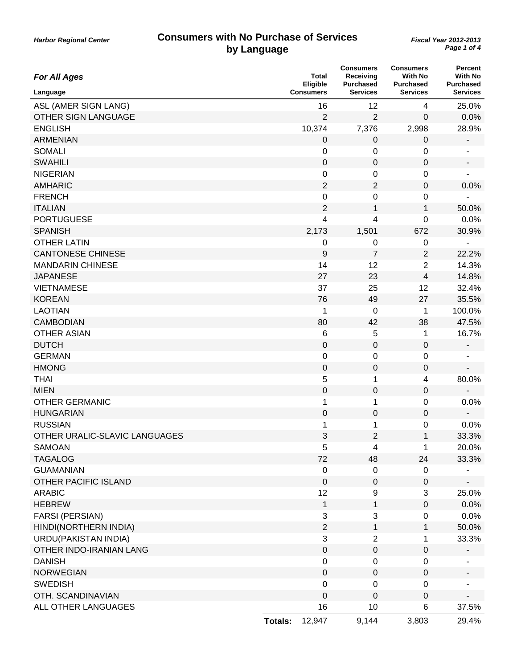| <b>For All Ages</b>           |                | Total<br>Eligible | <b>Consumers</b><br>Receiving<br><b>Purchased</b> | <b>Consumers</b><br><b>With No</b><br><b>Purchased</b> | <b>Percent</b><br>With No<br><b>Purchased</b> |
|-------------------------------|----------------|-------------------|---------------------------------------------------|--------------------------------------------------------|-----------------------------------------------|
| Language                      |                | <b>Consumers</b>  | <b>Services</b>                                   | <b>Services</b>                                        | <b>Services</b>                               |
| ASL (AMER SIGN LANG)          |                | 16                | 12                                                | 4                                                      | 25.0%                                         |
| OTHER SIGN LANGUAGE           |                | $\overline{2}$    | 2                                                 | 0                                                      | 0.0%                                          |
| <b>ENGLISH</b>                |                | 10,374            | 7,376                                             | 2,998                                                  | 28.9%                                         |
| <b>ARMENIAN</b>               |                | 0                 | 0                                                 | 0                                                      |                                               |
| <b>SOMALI</b>                 |                | 0                 | 0                                                 | 0                                                      | -                                             |
| <b>SWAHILI</b>                |                | $\boldsymbol{0}$  | 0                                                 | 0                                                      | -                                             |
| <b>NIGERIAN</b>               |                | $\pmb{0}$         | 0                                                 | 0                                                      |                                               |
| <b>AMHARIC</b>                |                | $\overline{2}$    | 2                                                 | 0                                                      | 0.0%                                          |
| <b>FRENCH</b>                 |                | $\pmb{0}$         | 0                                                 | 0                                                      |                                               |
| <b>ITALIAN</b>                |                | $\mathbf 2$       | $\mathbf{1}$                                      | $\mathbf{1}$                                           | 50.0%                                         |
| <b>PORTUGUESE</b>             |                | 4                 | 4                                                 | $\mathbf 0$                                            | 0.0%                                          |
| <b>SPANISH</b>                |                | 2,173             | 1,501                                             | 672                                                    | 30.9%                                         |
| <b>OTHER LATIN</b>            |                | $\mathbf 0$       | $\pmb{0}$                                         | 0                                                      |                                               |
| <b>CANTONESE CHINESE</b>      |                | 9                 | $\overline{7}$                                    | $\overline{2}$                                         | 22.2%                                         |
| <b>MANDARIN CHINESE</b>       |                | 14                | 12                                                | $\overline{2}$                                         | 14.3%                                         |
| <b>JAPANESE</b>               |                | 27                | 23                                                | 4                                                      | 14.8%                                         |
| <b>VIETNAMESE</b>             |                | 37                | 25                                                | 12                                                     | 32.4%                                         |
| <b>KOREAN</b>                 |                | 76                | 49                                                | 27                                                     | 35.5%                                         |
| <b>LAOTIAN</b>                |                | 1                 | $\pmb{0}$                                         | 1                                                      | 100.0%                                        |
| <b>CAMBODIAN</b>              |                | 80                | 42                                                | 38                                                     | 47.5%                                         |
| <b>OTHER ASIAN</b>            |                | $\,6$             | 5                                                 | 1                                                      | 16.7%                                         |
| <b>DUTCH</b>                  |                | $\boldsymbol{0}$  | 0                                                 | 0                                                      | -                                             |
| <b>GERMAN</b>                 |                | $\pmb{0}$         | 0                                                 | 0                                                      |                                               |
| <b>HMONG</b>                  |                | $\pmb{0}$         | $\pmb{0}$                                         | 0                                                      |                                               |
| <b>THAI</b>                   |                | 5                 | 1                                                 | 4                                                      | 80.0%                                         |
| <b>MIEN</b>                   |                | $\boldsymbol{0}$  | 0                                                 | $\mathbf 0$                                            |                                               |
| <b>OTHER GERMANIC</b>         |                | 1                 | 1                                                 | 0                                                      | 0.0%                                          |
| <b>HUNGARIAN</b>              |                | $\boldsymbol{0}$  | 0                                                 | 0                                                      |                                               |
| <b>RUSSIAN</b>                |                | 1                 | 1                                                 | 0                                                      | 0.0%                                          |
| OTHER URALIC-SLAVIC LANGUAGES |                | 3                 | 2                                                 | 1                                                      | 33.3%                                         |
| <b>SAMOAN</b>                 |                | 5                 | 4                                                 | 1                                                      | 20.0%                                         |
| <b>TAGALOG</b>                |                | 72                | 48                                                | 24                                                     | 33.3%                                         |
| <b>GUAMANIAN</b>              |                | $\boldsymbol{0}$  | 0                                                 | 0                                                      |                                               |
| OTHER PACIFIC ISLAND          |                | $\mathbf 0$       | $\mathbf 0$                                       | $\pmb{0}$                                              |                                               |
| <b>ARABIC</b>                 |                | 12                | 9                                                 | 3                                                      | 25.0%                                         |
| <b>HEBREW</b>                 |                | $\mathbf 1$       | 1                                                 | $\pmb{0}$                                              | 0.0%                                          |
| <b>FARSI (PERSIAN)</b>        |                | $\mathbf{3}$      | 3                                                 | 0                                                      | 0.0%                                          |
| HINDI(NORTHERN INDIA)         |                | $\sqrt{2}$        | $\mathbf{1}$                                      | $\mathbf{1}$                                           | 50.0%                                         |
| URDU(PAKISTAN INDIA)          |                | 3                 | $\overline{2}$                                    | 1                                                      | 33.3%                                         |
| OTHER INDO-IRANIAN LANG       |                | $\mathbf 0$       | 0                                                 | 0                                                      |                                               |
| <b>DANISH</b>                 |                | $\mathbf 0$       | 0                                                 | 0                                                      |                                               |
| <b>NORWEGIAN</b>              |                | $\boldsymbol{0}$  | $\mathbf 0$                                       | $\mathbf 0$                                            |                                               |
| <b>SWEDISH</b>                |                | $\pmb{0}$         | $\mathbf 0$                                       | 0                                                      |                                               |
| OTH. SCANDINAVIAN             |                | $\boldsymbol{0}$  | $\mathbf 0$                                       | $\pmb{0}$                                              |                                               |
| ALL OTHER LANGUAGES           |                | 16                | 10                                                | 6                                                      | 37.5%                                         |
|                               | <b>Totals:</b> | 12,947            | 9,144                                             | 3,803                                                  | 29.4%                                         |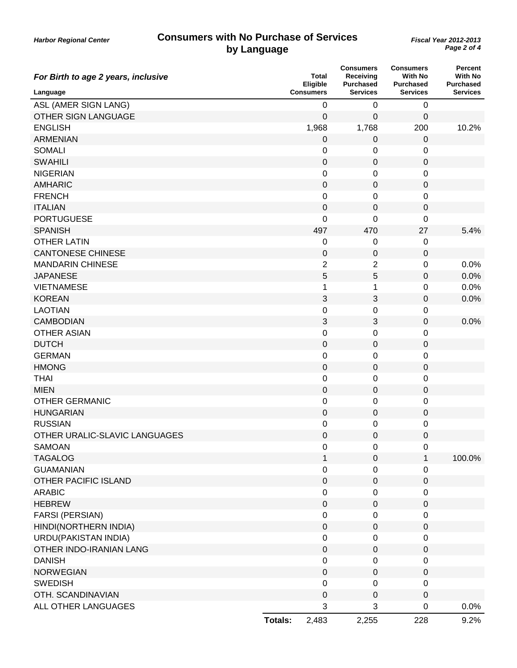| For Birth to age 2 years, inclusive |                | Total<br>Eligible | <b>Consumers</b><br>Receiving<br><b>Purchased</b> | <b>Consumers</b><br><b>With No</b><br><b>Purchased</b> | <b>Percent</b><br><b>With No</b><br><b>Purchased</b> |
|-------------------------------------|----------------|-------------------|---------------------------------------------------|--------------------------------------------------------|------------------------------------------------------|
| Language                            |                | <b>Consumers</b>  | <b>Services</b>                                   | <b>Services</b>                                        | <b>Services</b>                                      |
| ASL (AMER SIGN LANG)                |                | $\mathbf 0$       | 0                                                 | 0                                                      |                                                      |
| OTHER SIGN LANGUAGE                 |                | 0                 | 0                                                 | 0                                                      |                                                      |
| <b>ENGLISH</b>                      |                | 1,968             | 1,768                                             | 200                                                    | 10.2%                                                |
| <b>ARMENIAN</b>                     |                | 0                 | $\pmb{0}$                                         | $\mathbf 0$                                            |                                                      |
| <b>SOMALI</b>                       |                | 0                 | 0                                                 | 0                                                      |                                                      |
| <b>SWAHILI</b>                      |                | 0                 | 0                                                 | 0                                                      |                                                      |
| <b>NIGERIAN</b>                     |                | 0                 | 0                                                 | 0                                                      |                                                      |
| <b>AMHARIC</b>                      |                | $\mathbf 0$       | 0                                                 | $\mathbf 0$                                            |                                                      |
| <b>FRENCH</b>                       |                | 0                 | 0                                                 | 0                                                      |                                                      |
| <b>ITALIAN</b>                      |                | 0                 | 0                                                 | 0                                                      |                                                      |
| <b>PORTUGUESE</b>                   |                | 0                 | 0                                                 | 0                                                      |                                                      |
| <b>SPANISH</b>                      |                | 497               | 470                                               | 27                                                     | 5.4%                                                 |
| <b>OTHER LATIN</b>                  |                | 0                 | 0                                                 | 0                                                      |                                                      |
| <b>CANTONESE CHINESE</b>            |                | 0                 | 0                                                 | 0                                                      |                                                      |
| <b>MANDARIN CHINESE</b>             |                | 2                 | 2                                                 | 0                                                      | 0.0%                                                 |
| <b>JAPANESE</b>                     |                | 5                 | 5                                                 | $\mathbf 0$                                            | 0.0%                                                 |
| <b>VIETNAMESE</b>                   |                | 1                 | 1                                                 | 0                                                      | 0.0%                                                 |
| <b>KOREAN</b>                       |                | $\sqrt{3}$        | 3                                                 | $\pmb{0}$                                              | 0.0%                                                 |
| <b>LAOTIAN</b>                      |                | 0                 | 0                                                 | 0                                                      |                                                      |
| <b>CAMBODIAN</b>                    |                | 3                 | $\ensuremath{\mathsf{3}}$                         | $\boldsymbol{0}$                                       | 0.0%                                                 |
| <b>OTHER ASIAN</b>                  |                | 0                 | 0                                                 | 0                                                      |                                                      |
| <b>DUTCH</b>                        |                | 0                 | 0                                                 | 0                                                      |                                                      |
| <b>GERMAN</b>                       |                | 0                 | 0                                                 | 0                                                      |                                                      |
| <b>HMONG</b>                        |                | $\pmb{0}$         | 0                                                 | $\boldsymbol{0}$                                       |                                                      |
| <b>THAI</b>                         |                | 0                 | 0                                                 | 0                                                      |                                                      |
| <b>MIEN</b>                         |                | 0                 | 0                                                 | $\pmb{0}$                                              |                                                      |
| <b>OTHER GERMANIC</b>               |                | 0                 | 0                                                 | $\pmb{0}$                                              |                                                      |
| <b>HUNGARIAN</b>                    |                | $\pmb{0}$         | 0                                                 | $\boldsymbol{0}$                                       |                                                      |
| <b>RUSSIAN</b>                      |                | 0                 | 0                                                 | 0                                                      |                                                      |
| OTHER URALIC-SLAVIC LANGUAGES       |                | 0                 | 0                                                 | 0                                                      |                                                      |
| SAMOAN                              |                | 0                 | 0                                                 | $\boldsymbol{0}$                                       |                                                      |
| <b>TAGALOG</b>                      |                | 1                 | $\pmb{0}$                                         | $\mathbf{1}$                                           | 100.0%                                               |
| <b>GUAMANIAN</b>                    |                | $\mathbf 0$       | 0                                                 | 0                                                      |                                                      |
| OTHER PACIFIC ISLAND                |                | $\mathbf 0$       | $\mathbf 0$                                       | $\mathbf 0$                                            |                                                      |
| <b>ARABIC</b>                       |                | $\boldsymbol{0}$  | 0                                                 | 0                                                      |                                                      |
| <b>HEBREW</b>                       |                | $\mathbf 0$       | $\pmb{0}$                                         | $\boldsymbol{0}$                                       |                                                      |
| <b>FARSI (PERSIAN)</b>              |                | $\mathbf 0$       | 0                                                 | 0                                                      |                                                      |
| HINDI(NORTHERN INDIA)               |                | $\mathbf 0$       | 0                                                 | $\pmb{0}$                                              |                                                      |
| URDU(PAKISTAN INDIA)                |                | $\mathbf 0$       | 0                                                 | 0                                                      |                                                      |
| OTHER INDO-IRANIAN LANG             |                | $\mathbf 0$       | 0                                                 | $\boldsymbol{0}$                                       |                                                      |
| <b>DANISH</b>                       |                | $\mathbf 0$       | 0                                                 | 0                                                      |                                                      |
| <b>NORWEGIAN</b>                    |                | $\mathbf 0$       | $\mathbf{0}$                                      | 0                                                      |                                                      |
| <b>SWEDISH</b>                      |                | $\mathbf 0$       | 0                                                 | 0                                                      |                                                      |
| OTH. SCANDINAVIAN                   |                | $\mathbf 0$       | $\pmb{0}$                                         | $\boldsymbol{0}$                                       |                                                      |
| ALL OTHER LANGUAGES                 |                | 3                 | 3                                                 | $\pmb{0}$                                              | 0.0%                                                 |
|                                     | <b>Totals:</b> | 2,483             | 2,255                                             | 228                                                    | 9.2%                                                 |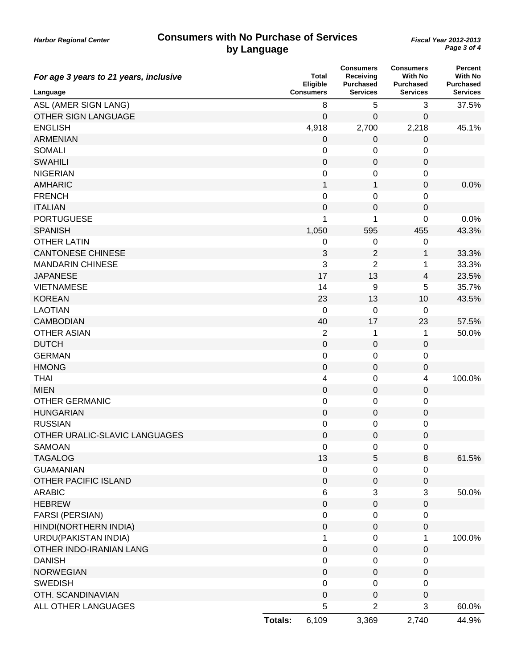| For age 3 years to 21 years, inclusive |                  | Total<br>Eligible | <b>Consumers</b><br>Receiving<br><b>Purchased</b> | <b>Consumers</b><br><b>With No</b><br><b>Purchased</b> | Percent<br><b>With No</b><br><b>Purchased</b> |
|----------------------------------------|------------------|-------------------|---------------------------------------------------|--------------------------------------------------------|-----------------------------------------------|
| Language                               | <b>Consumers</b> |                   | <b>Services</b>                                   | <b>Services</b>                                        | <b>Services</b>                               |
| ASL (AMER SIGN LANG)                   |                  | 8                 | 5                                                 | 3                                                      | 37.5%                                         |
| OTHER SIGN LANGUAGE                    |                  | $\mathbf 0$       | 0                                                 | 0                                                      |                                               |
| <b>ENGLISH</b>                         |                  | 4,918             | 2,700                                             | 2,218                                                  | 45.1%                                         |
| <b>ARMENIAN</b>                        |                  | 0                 | $\pmb{0}$                                         | $\pmb{0}$                                              |                                               |
| <b>SOMALI</b>                          |                  | 0                 | 0                                                 | 0                                                      |                                               |
| <b>SWAHILI</b>                         |                  | 0                 | 0                                                 | 0                                                      |                                               |
| <b>NIGERIAN</b>                        |                  | 0                 | 0                                                 | 0                                                      |                                               |
| <b>AMHARIC</b>                         |                  | $\mathbf 1$       | 1                                                 | $\mathbf 0$                                            | 0.0%                                          |
| <b>FRENCH</b>                          |                  | 0                 | 0                                                 | 0                                                      |                                               |
| <b>ITALIAN</b>                         |                  | $\pmb{0}$         | 0                                                 | 0                                                      |                                               |
| <b>PORTUGUESE</b>                      |                  | 1                 | 1                                                 | 0                                                      | 0.0%                                          |
| <b>SPANISH</b>                         |                  | 1,050             | 595                                               | 455                                                    | 43.3%                                         |
| <b>OTHER LATIN</b>                     |                  | 0                 | 0                                                 | 0                                                      |                                               |
| <b>CANTONESE CHINESE</b>               |                  | 3                 | 2                                                 | 1                                                      | 33.3%                                         |
| <b>MANDARIN CHINESE</b>                |                  | 3                 | $\overline{2}$                                    | 1                                                      | 33.3%                                         |
| <b>JAPANESE</b>                        |                  | 17                | 13                                                | $\overline{4}$                                         | 23.5%                                         |
| <b>VIETNAMESE</b>                      |                  | 14                | 9                                                 | 5                                                      | 35.7%                                         |
| <b>KOREAN</b>                          |                  | 23                | 13                                                | 10                                                     | 43.5%                                         |
| <b>LAOTIAN</b>                         |                  | $\mathbf 0$       | 0                                                 | 0                                                      |                                               |
| <b>CAMBODIAN</b>                       |                  | 40                | 17                                                | 23                                                     | 57.5%                                         |
| <b>OTHER ASIAN</b>                     |                  | 2                 | 1                                                 | 1                                                      | 50.0%                                         |
| <b>DUTCH</b>                           |                  | 0                 | 0                                                 | 0                                                      |                                               |
| <b>GERMAN</b>                          |                  | 0                 | 0                                                 | $\pmb{0}$                                              |                                               |
| <b>HMONG</b>                           |                  | $\mathbf 0$       | $\pmb{0}$                                         | $\boldsymbol{0}$                                       |                                               |
| <b>THAI</b>                            |                  | 4                 | 0                                                 | $\overline{\mathbf{4}}$                                | 100.0%                                        |
| <b>MIEN</b>                            |                  | $\pmb{0}$         | $\pmb{0}$                                         | $\pmb{0}$                                              |                                               |
| <b>OTHER GERMANIC</b>                  |                  | 0                 | 0                                                 | 0                                                      |                                               |
| <b>HUNGARIAN</b>                       |                  | $\mathbf 0$       | $\pmb{0}$                                         | $\pmb{0}$                                              |                                               |
| <b>RUSSIAN</b>                         |                  | 0                 | 0                                                 | 0                                                      |                                               |
| OTHER URALIC-SLAVIC LANGUAGES          |                  | 0                 | 0                                                 | 0                                                      |                                               |
| <b>SAMOAN</b>                          |                  | 0                 | 0                                                 | $\pmb{0}$                                              |                                               |
| <b>TAGALOG</b>                         |                  | 13                | 5                                                 | $\,8\,$                                                | 61.5%                                         |
| <b>GUAMANIAN</b>                       |                  | $\boldsymbol{0}$  | 0                                                 | 0                                                      |                                               |
| <b>OTHER PACIFIC ISLAND</b>            |                  | $\mathbf 0$       | 0                                                 | 0                                                      |                                               |
| <b>ARABIC</b>                          |                  | 6                 | 3                                                 | 3                                                      | 50.0%                                         |
| <b>HEBREW</b>                          |                  | $\mathbf 0$       | 0                                                 | $\boldsymbol{0}$                                       |                                               |
| <b>FARSI (PERSIAN)</b>                 |                  | $\mathbf 0$       | 0                                                 | $\pmb{0}$                                              |                                               |
| HINDI(NORTHERN INDIA)                  |                  | $\mathbf 0$       | 0                                                 | $\pmb{0}$                                              |                                               |
| URDU(PAKISTAN INDIA)                   |                  | 1                 | 0                                                 | 1                                                      | 100.0%                                        |
| OTHER INDO-IRANIAN LANG                |                  | $\pmb{0}$         | 0                                                 | $\boldsymbol{0}$                                       |                                               |
| <b>DANISH</b>                          |                  | $\mathbf 0$       | 0                                                 | 0                                                      |                                               |
| <b>NORWEGIAN</b>                       |                  | $\mathbf 0$       | 0                                                 | 0                                                      |                                               |
| <b>SWEDISH</b>                         |                  | $\boldsymbol{0}$  | 0                                                 | 0                                                      |                                               |
| OTH. SCANDINAVIAN                      |                  | $\boldsymbol{0}$  | 0                                                 | $\boldsymbol{0}$                                       |                                               |
| ALL OTHER LANGUAGES                    |                  | 5                 | $\overline{2}$                                    | 3                                                      | 60.0%                                         |
|                                        | <b>Totals:</b>   | 6,109             | 3,369                                             | 2,740                                                  | 44.9%                                         |